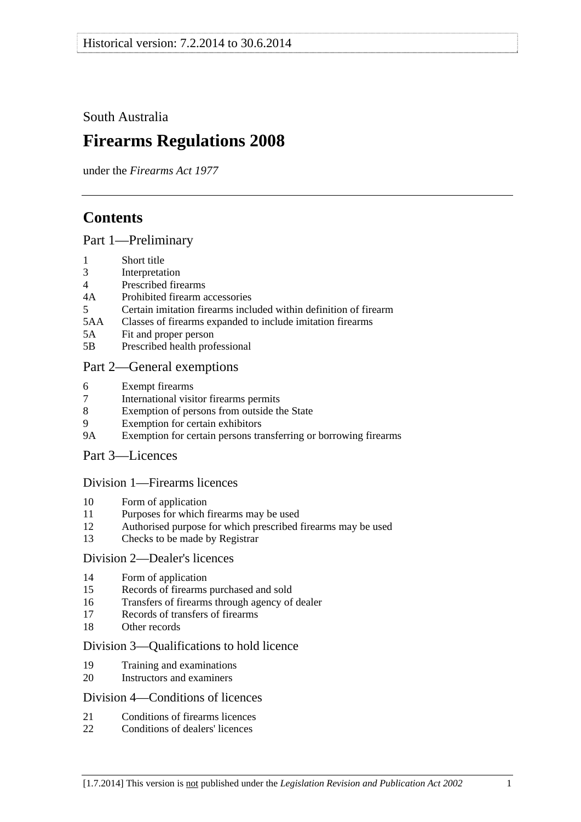<span id="page-0-0"></span>South Australia

# **Firearms Regulations 2008**

under the *Firearms Act 1977*

## **Contents**

#### [Part 1—Preliminary](#page-2-0)

- [1 Short title](#page-2-0)
- [3 Interpretation](#page-2-0)
- [4 Prescribed firearms](#page-3-0)
- [4A Prohibited firearm accessories](#page-3-0)
- [5 Certain imitation firearms included within definition of firearm](#page-4-0)
- [5AA Classes of firearms expanded to include imitation firearms](#page-5-0)
- [5A Fit and proper person](#page-5-0)
- [5B Prescribed health professional](#page-6-0)

## [Part 2—General exemptions](#page-6-0)

- [6 Exempt firearms](#page-6-0)
- [7 International visitor firearms permits](#page-7-0)
- [8 Exemption of persons from outside the State](#page-8-0)
- [9 Exemption for certain exhibitors](#page-8-0)
- [9A Exemption for certain persons transferring or borrowing firearms](#page-9-0)
- [Part 3—Licences](#page-9-0)

#### [Division 1—Firearms licences](#page-9-0)

- [10 Form of application](#page-9-0)
- [11 Purposes for which firearms may be used](#page-9-0)
- [12 Authorised purpose for which prescribed firearms may be used](#page-10-0)
- [13 Checks to be made by Registrar](#page-10-0)

#### [Division 2—Dealer's licences](#page-10-0)

- [14 Form of application](#page-10-0)
- [15 Records of firearms purchased and sold](#page-11-0)
- [16 Transfers of firearms through agency of dealer](#page-11-0)
- [17 Records of transfers of firearms](#page-11-0)
- [18 Other records](#page-12-0)

#### [Division 3—Qualifications to hold licence](#page-12-0)

- [19 Training and examinations](#page-12-0)
- [20 Instructors and examiners](#page-12-0)

#### [Division 4—Conditions of licences](#page-13-0)

- [21 Conditions of firearms licences](#page-13-0)
- [22 Conditions of dealers' licences](#page-16-0)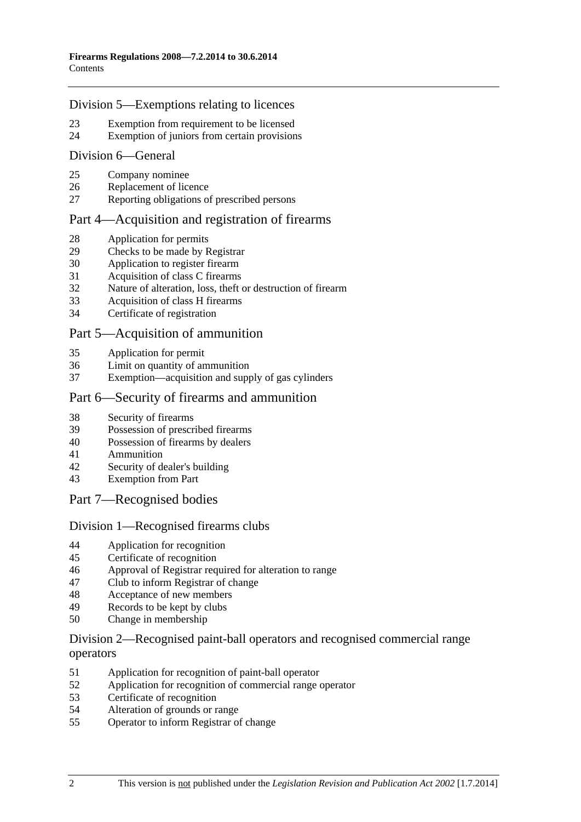#### [Division 5—Exemptions relating to licences](#page-17-0)

- [23 Exemption from requirement to be licensed](#page-17-0)
- [24 Exemption of juniors from certain provisions](#page-18-0)

#### [Division 6—General](#page-19-0)

- [25 Company nominee](#page-19-0)
- [26 Replacement of licence](#page-19-0)
- [27 Reporting obligations of prescribed persons](#page-19-0)

#### [Part 4—Acquisition and registration of firearms](#page-20-0)

- [28 Application for permits](#page-20-0)
- [29 Checks to be made by Registrar](#page-20-0)
- [30 Application to register firearm](#page-20-0)
- [31 Acquisition of class C firearms](#page-20-0)
- [32 Nature of alteration, loss, theft or destruction of firearm](#page-21-0)
- [33 Acquisition of class H firearms](#page-21-0)
- [34 Certificate of registration](#page-21-0)

#### [Part 5—Acquisition of ammunition](#page-22-0)

- [35 Application for permit](#page-22-0)
- [36 Limit on quantity of ammunition](#page-22-0)
- [37 Exemption—acquisition and supply of gas cylinders](#page-22-0)

#### [Part 6—Security of firearms and ammunition](#page-22-0)

- [38 Security of firearms](#page-22-0)
- [39 Possession of prescribed firearms](#page-23-0)
- [40 Possession of firearms by dealers](#page-23-0)
- [41 Ammunition](#page-23-0)
- [42 Security of dealer's building](#page-23-0)
- [43 Exemption from Part](#page-23-0)
- [Part 7—Recognised bodies](#page-24-0)

#### [Division 1—Recognised firearms clubs](#page-24-0)

- [44 Application for recognition](#page-24-0)
- [45 Certificate of recognition](#page-24-0)
- [46 Approval of Registrar required for alteration to range](#page-24-0)
- [47 Club to inform Registrar of change](#page-25-0)
- [48 Acceptance of new members](#page-25-0)
- [49 Records to be kept by clubs](#page-25-0)
- [50 Change in membership](#page-26-0)

#### [Division 2—Recognised paint-ball operators and recognised commercial range](#page-26-0)  [operators](#page-26-0)

- [51 Application for recognition of paint-ball operator](#page-26-0)
- [52 Application for recognition of commercial range operator](#page-26-0)
- [53 Certificate of recognition](#page-27-0)
- [54 Alteration of grounds or range](#page-27-0)
- [55 Operator to inform Registrar of change](#page-27-0)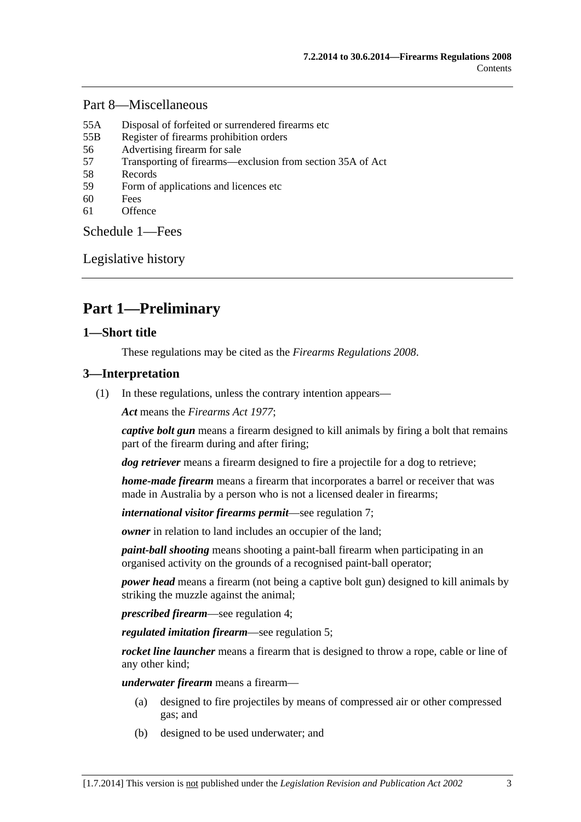#### <span id="page-2-0"></span>[Part 8—Miscellaneous](#page-28-0)

- [55A Disposal of forfeited or surrendered firearms etc](#page-28-0)
- [55B Register of firearms prohibition orders](#page-28-0)
- [56 Advertising firearm for sale](#page-28-0)
- [57 Transporting of firearms—exclusion from section 35A of Act](#page-29-0)
- [58 Records](#page-29-0)
- [59 Form of applications and licences etc](#page-29-0)
- [60 Fees](#page-29-0)
- [61 Offence](#page-29-0)

[Schedule 1—Fees](#page-29-0) 

[Legislative history](#page-31-0) 

## **Part 1—Preliminary**

#### **1—Short title**

These regulations may be cited as the *Firearms Regulations 2008*.

#### **3—Interpretation**

(1) In these regulations, unless the contrary intention appears—

*Act* means the *[Firearms Act 1977](http://www.legislation.sa.gov.au/index.aspx?action=legref&type=act&legtitle=Firearms%20Act%201977)*;

*captive bolt gun* means a firearm designed to kill animals by firing a bolt that remains part of the firearm during and after firing;

*dog retriever* means a firearm designed to fire a projectile for a dog to retrieve;

*home-made firearm* means a firearm that incorporates a barrel or receiver that was made in Australia by a person who is not a licensed dealer in firearms;

*international visitor firearms permit*—see [regulation 7;](#page-7-0)

*owner* in relation to land includes an occupier of the land:

*paint-ball shooting* means shooting a paint-ball firearm when participating in an organised activity on the grounds of a recognised paint-ball operator;

*power head* means a firearm (not being a captive bolt gun) designed to kill animals by striking the muzzle against the animal;

*prescribed firearm*—see [regulation 4;](#page-3-0)

*regulated imitation firearm*—see [regulation 5](#page-0-0);

*rocket line launcher* means a firearm that is designed to throw a rope, cable or line of any other kind;

*underwater firearm* means a firearm—

- (a) designed to fire projectiles by means of compressed air or other compressed gas; and
- (b) designed to be used underwater; and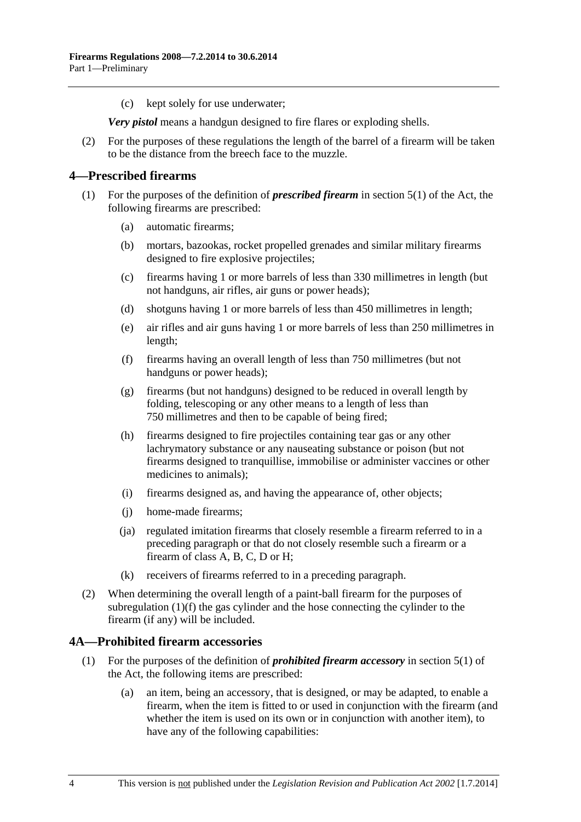<span id="page-3-0"></span>(c) kept solely for use underwater;

*Very pistol* means a handgun designed to fire flares or exploding shells.

 (2) For the purposes of these regulations the length of the barrel of a firearm will be taken to be the distance from the breech face to the muzzle.

#### **4—Prescribed firearms**

- (1) For the purposes of the definition of *prescribed firearm* in section 5(1) of the Act, the following firearms are prescribed:
	- (a) automatic firearms;
	- (b) mortars, bazookas, rocket propelled grenades and similar military firearms designed to fire explosive projectiles;
	- (c) firearms having 1 or more barrels of less than 330 millimetres in length (but not handguns, air rifles, air guns or power heads);
	- (d) shotguns having 1 or more barrels of less than 450 millimetres in length;
	- (e) air rifles and air guns having 1 or more barrels of less than 250 millimetres in length;
	- (f) firearms having an overall length of less than 750 millimetres (but not handguns or power heads);
	- (g) firearms (but not handguns) designed to be reduced in overall length by folding, telescoping or any other means to a length of less than 750 millimetres and then to be capable of being fired;
	- (h) firearms designed to fire projectiles containing tear gas or any other lachrymatory substance or any nauseating substance or poison (but not firearms designed to tranquillise, immobilise or administer vaccines or other medicines to animals);
	- (i) firearms designed as, and having the appearance of, other objects;
	- (j) home-made firearms;
	- (ja) regulated imitation firearms that closely resemble a firearm referred to in a preceding paragraph or that do not closely resemble such a firearm or a firearm of class A, B, C, D or H;
	- (k) receivers of firearms referred to in a preceding paragraph.
- (2) When determining the overall length of a paint-ball firearm for the purposes of [subregulation \(1\)\(f\)](#page-3-0) the gas cylinder and the hose connecting the cylinder to the firearm (if any) will be included.

#### **4A—Prohibited firearm accessories**

- (1) For the purposes of the definition of *prohibited firearm accessory* in section 5(1) of the Act, the following items are prescribed:
	- (a) an item, being an accessory, that is designed, or may be adapted, to enable a firearm, when the item is fitted to or used in conjunction with the firearm (and whether the item is used on its own or in conjunction with another item), to have any of the following capabilities: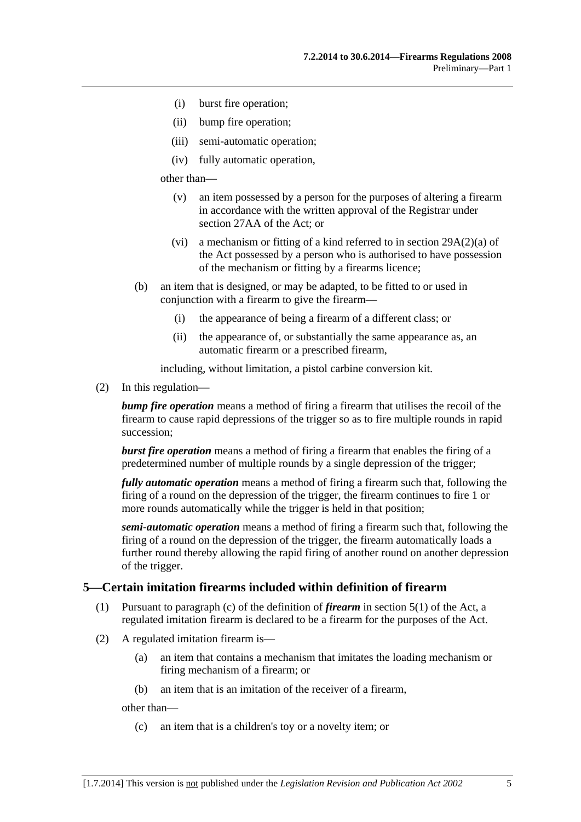- <span id="page-4-0"></span>(i) burst fire operation;
- (ii) bump fire operation;
- (iii) semi-automatic operation;
- (iv) fully automatic operation,

other than—

- (v) an item possessed by a person for the purposes of altering a firearm in accordance with the written approval of the Registrar under section 27AA of the Act; or
- (vi) a mechanism or fitting of a kind referred to in section 29A(2)(a) of the Act possessed by a person who is authorised to have possession of the mechanism or fitting by a firearms licence;
- (b) an item that is designed, or may be adapted, to be fitted to or used in conjunction with a firearm to give the firearm—
	- (i) the appearance of being a firearm of a different class; or
	- (ii) the appearance of, or substantially the same appearance as, an automatic firearm or a prescribed firearm,

including, without limitation, a pistol carbine conversion kit.

(2) In this regulation—

*bump fire operation* means a method of firing a firearm that utilises the recoil of the firearm to cause rapid depressions of the trigger so as to fire multiple rounds in rapid succession;

*burst fire operation* means a method of firing a firearm that enables the firing of a predetermined number of multiple rounds by a single depression of the trigger;

*fully automatic operation* means a method of firing a firearm such that, following the firing of a round on the depression of the trigger, the firearm continues to fire 1 or more rounds automatically while the trigger is held in that position;

*semi-automatic operation* means a method of firing a firearm such that, following the firing of a round on the depression of the trigger, the firearm automatically loads a further round thereby allowing the rapid firing of another round on another depression of the trigger.

#### **5—Certain imitation firearms included within definition of firearm**

- (1) Pursuant to paragraph (c) of the definition of *firearm* in section 5(1) of the Act, a regulated imitation firearm is declared to be a firearm for the purposes of the Act.
- (2) A regulated imitation firearm is—
	- (a) an item that contains a mechanism that imitates the loading mechanism or firing mechanism of a firearm; or
	- (b) an item that is an imitation of the receiver of a firearm,

other than—

(c) an item that is a children's toy or a novelty item; or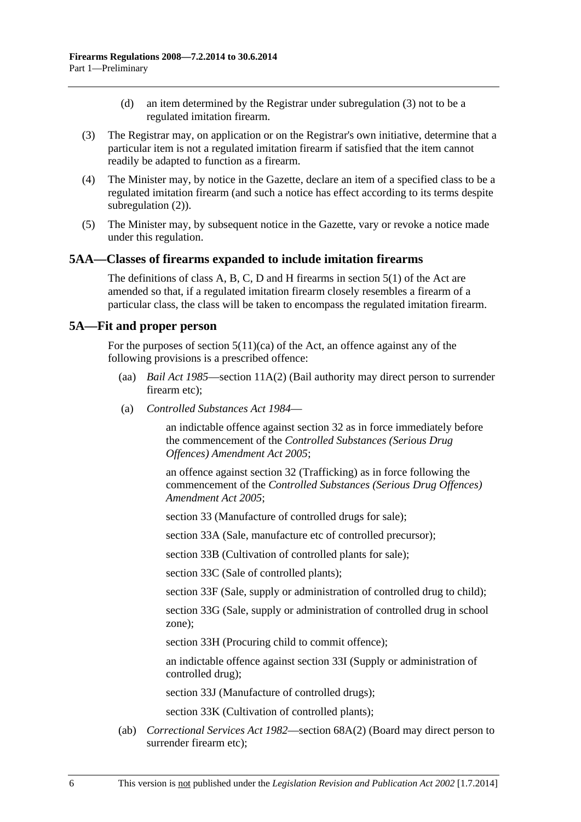- (d) an item determined by the Registrar under [subregulation \(3\)](#page-5-0) not to be a regulated imitation firearm.
- <span id="page-5-0"></span> (3) The Registrar may, on application or on the Registrar's own initiative, determine that a particular item is not a regulated imitation firearm if satisfied that the item cannot readily be adapted to function as a firearm.
- (4) The Minister may, by notice in the Gazette, declare an item of a specified class to be a regulated imitation firearm (and such a notice has effect according to its terms despite [subregulation \(2\)\)](#page-4-0).
- (5) The Minister may, by subsequent notice in the Gazette, vary or revoke a notice made under this regulation.

#### **5AA—Classes of firearms expanded to include imitation firearms**

The definitions of class A, B, C, D and H firearms in section 5(1) of the Act are amended so that, if a regulated imitation firearm closely resembles a firearm of a particular class, the class will be taken to encompass the regulated imitation firearm.

#### **5A—Fit and proper person**

For the purposes of section  $5(11)(ca)$  of the Act, an offence against any of the following provisions is a prescribed offence:

- (aa) *[Bail Act 1985](http://www.legislation.sa.gov.au/index.aspx?action=legref&type=act&legtitle=Bail%20Act%201985)*—section 11A(2) (Bail authority may direct person to surrender firearm etc);
- (a) *[Controlled Substances Act 1984](http://www.legislation.sa.gov.au/index.aspx?action=legref&type=act&legtitle=Controlled%20Substances%20Act%201984)*—

an indictable offence against section 32 as in force immediately before the commencement of the *[Controlled Substances \(Serious Drug](http://www.legislation.sa.gov.au/index.aspx?action=legref&type=act&legtitle=Controlled%20Substances%20(Serious%20Drug%20Offences)%20Amendment%20Act%202005)  [Offences\) Amendment Act 2005](http://www.legislation.sa.gov.au/index.aspx?action=legref&type=act&legtitle=Controlled%20Substances%20(Serious%20Drug%20Offences)%20Amendment%20Act%202005)*;

an offence against section 32 (Trafficking) as in force following the commencement of the *[Controlled Substances \(Serious Drug Offences\)](http://www.legislation.sa.gov.au/index.aspx?action=legref&type=act&legtitle=Controlled%20Substances%20(Serious%20Drug%20Offences)%20Amendment%20Act%202005)  [Amendment Act 2005](http://www.legislation.sa.gov.au/index.aspx?action=legref&type=act&legtitle=Controlled%20Substances%20(Serious%20Drug%20Offences)%20Amendment%20Act%202005)*;

section 33 (Manufacture of controlled drugs for sale);

section 33A (Sale, manufacture etc of controlled precursor);

section 33B (Cultivation of controlled plants for sale);

section 33C (Sale of controlled plants);

section 33F (Sale, supply or administration of controlled drug to child);

section 33G (Sale, supply or administration of controlled drug in school zone);

section 33H (Procuring child to commit offence);

an indictable offence against section 33I (Supply or administration of controlled drug);

section 33J (Manufacture of controlled drugs);

section 33K (Cultivation of controlled plants);

 (ab) *[Correctional Services Act 1982](http://www.legislation.sa.gov.au/index.aspx?action=legref&type=act&legtitle=Correctional%20Services%20Act%201982)*—section 68A(2) (Board may direct person to surrender firearm etc);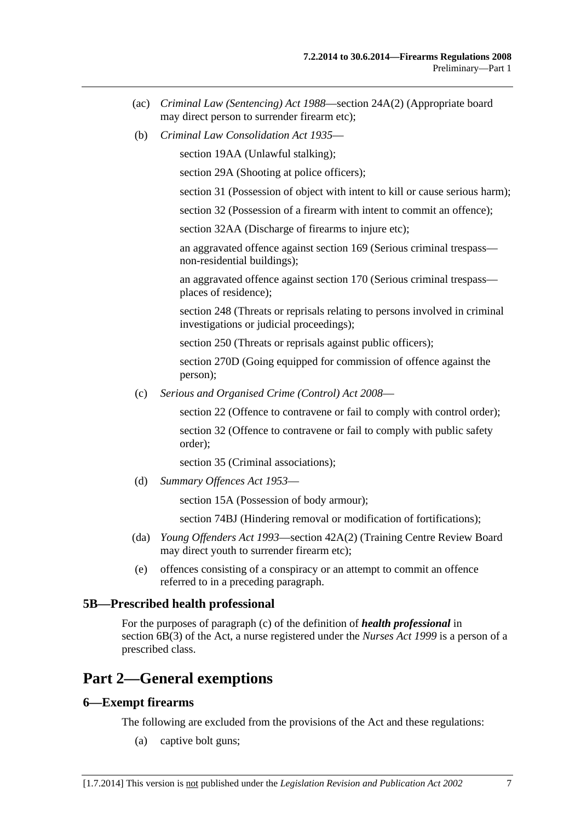- <span id="page-6-0"></span> (ac) *[Criminal Law \(Sentencing\) Act 1988](http://www.legislation.sa.gov.au/index.aspx?action=legref&type=act&legtitle=Criminal%20Law%20(Sentencing)%20Act%201988)*—section 24A(2) (Appropriate board may direct person to surrender firearm etc);
- (b) *[Criminal Law Consolidation Act 1935](http://www.legislation.sa.gov.au/index.aspx?action=legref&type=act&legtitle=Criminal%20Law%20Consolidation%20Act%201935)*—

section 19AA (Unlawful stalking);

section 29A (Shooting at police officers);

section 31 (Possession of object with intent to kill or cause serious harm);

section 32 (Possession of a firearm with intent to commit an offence);

section 32AA (Discharge of firearms to injure etc);

an aggravated offence against section 169 (Serious criminal trespass non-residential buildings);

an aggravated offence against section 170 (Serious criminal trespass places of residence);

section 248 (Threats or reprisals relating to persons involved in criminal investigations or judicial proceedings);

section 250 (Threats or reprisals against public officers);

section 270D (Going equipped for commission of offence against the person);

(c) *[Serious and Organised Crime \(Control\) Act 2008](http://www.legislation.sa.gov.au/index.aspx?action=legref&type=act&legtitle=Serious%20and%20Organised%20Crime%20(Control)%20Act%202008)*—

section 22 (Offence to contravene or fail to comply with control order);

section 32 (Offence to contravene or fail to comply with public safety order);

section 35 (Criminal associations);

(d) *[Summary Offences Act 1953](http://www.legislation.sa.gov.au/index.aspx?action=legref&type=act&legtitle=Summary%20Offences%20Act%201953)*—

section 15A (Possession of body armour);

section 74BJ (Hindering removal or modification of fortifications);

- (da) *[Young Offenders Act 1993](http://www.legislation.sa.gov.au/index.aspx?action=legref&type=act&legtitle=Young%20Offenders%20Act%201993)*—section 42A(2) (Training Centre Review Board may direct youth to surrender firearm etc);
- (e) offences consisting of a conspiracy or an attempt to commit an offence referred to in a preceding paragraph.

#### **5B—Prescribed health professional**

For the purposes of paragraph (c) of the definition of *health professional* in section 6B(3) of the Act, a nurse registered under the *[Nurses Act 1999](http://www.legislation.sa.gov.au/index.aspx?action=legref&type=act&legtitle=Nurses%20Act%201999)* is a person of a prescribed class.

## **Part 2—General exemptions**

#### **6—Exempt firearms**

The following are excluded from the provisions of the Act and these regulations:

(a) captive bolt guns;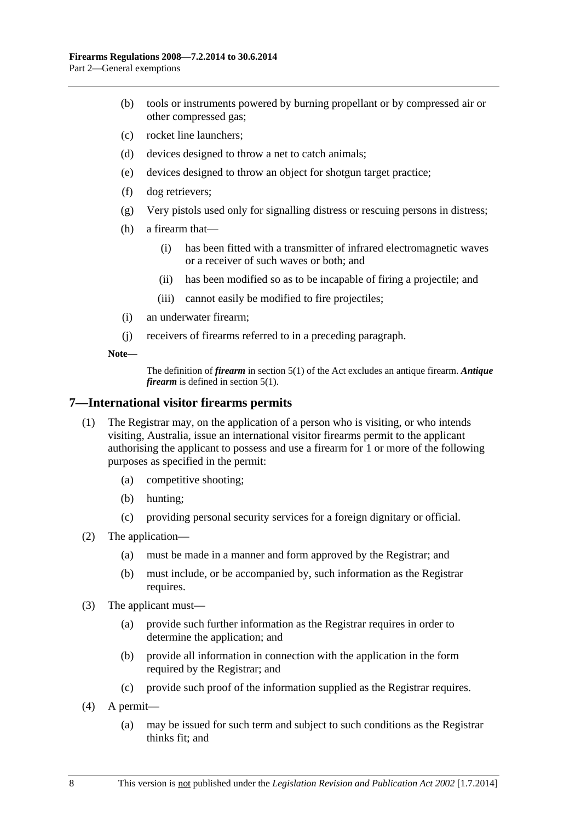- <span id="page-7-0"></span> (b) tools or instruments powered by burning propellant or by compressed air or other compressed gas;
- (c) rocket line launchers;
- (d) devices designed to throw a net to catch animals;
- (e) devices designed to throw an object for shotgun target practice;
- (f) dog retrievers;
- (g) Very pistols used only for signalling distress or rescuing persons in distress;
- (h) a firearm that—
	- (i) has been fitted with a transmitter of infrared electromagnetic waves or a receiver of such waves or both; and
	- (ii) has been modified so as to be incapable of firing a projectile; and
	- (iii) cannot easily be modified to fire projectiles;
- (i) an underwater firearm;
- (j) receivers of firearms referred to in a preceding paragraph.

**Note—** 

The definition of *firearm* in section 5(1) of the Act excludes an antique firearm. *Antique firearm* is defined in section 5(1).

#### **7—International visitor firearms permits**

- (1) The Registrar may, on the application of a person who is visiting, or who intends visiting, Australia, issue an international visitor firearms permit to the applicant authorising the applicant to possess and use a firearm for 1 or more of the following purposes as specified in the permit:
	- (a) competitive shooting;
	- (b) hunting;
	- (c) providing personal security services for a foreign dignitary or official.
- (2) The application—
	- (a) must be made in a manner and form approved by the Registrar; and
	- (b) must include, or be accompanied by, such information as the Registrar requires.
- (3) The applicant must—
	- (a) provide such further information as the Registrar requires in order to determine the application; and
	- (b) provide all information in connection with the application in the form required by the Registrar; and
	- (c) provide such proof of the information supplied as the Registrar requires.
- (4) A permit—
	- (a) may be issued for such term and subject to such conditions as the Registrar thinks fit; and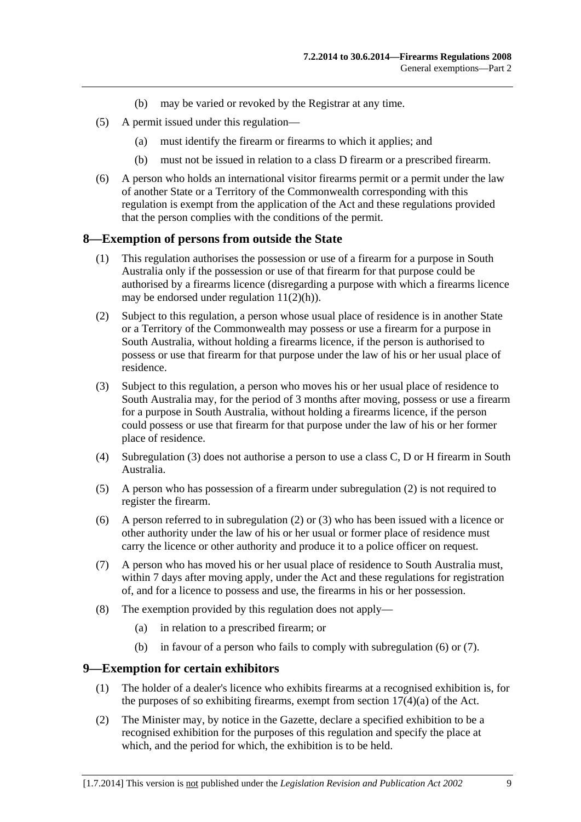- (b) may be varied or revoked by the Registrar at any time.
- <span id="page-8-0"></span> (5) A permit issued under this regulation—
	- (a) must identify the firearm or firearms to which it applies; and
	- (b) must not be issued in relation to a class D firearm or a prescribed firearm.
- (6) A person who holds an international visitor firearms permit or a permit under the law of another State or a Territory of the Commonwealth corresponding with this regulation is exempt from the application of the Act and these regulations provided that the person complies with the conditions of the permit.

#### **8—Exemption of persons from outside the State**

- (1) This regulation authorises the possession or use of a firearm for a purpose in South Australia only if the possession or use of that firearm for that purpose could be authorised by a firearms licence (disregarding a purpose with which a firearms licence may be endorsed under regulation  $11(2)(h)$ ).
- (2) Subject to this regulation, a person whose usual place of residence is in another State or a Territory of the Commonwealth may possess or use a firearm for a purpose in South Australia, without holding a firearms licence, if the person is authorised to possess or use that firearm for that purpose under the law of his or her usual place of residence.
- (3) Subject to this regulation, a person who moves his or her usual place of residence to South Australia may, for the period of 3 months after moving, possess or use a firearm for a purpose in South Australia, without holding a firearms licence, if the person could possess or use that firearm for that purpose under the law of his or her former place of residence.
- (4) [Subregulation \(3\)](#page-8-0) does not authorise a person to use a class C, D or H firearm in South Australia.
- (5) A person who has possession of a firearm under [subregulation \(2\)](#page-8-0) is not required to register the firearm.
- (6) A person referred to in [subregulation \(2\)](#page-8-0) or [\(3\)](#page-8-0) who has been issued with a licence or other authority under the law of his or her usual or former place of residence must carry the licence or other authority and produce it to a police officer on request.
- (7) A person who has moved his or her usual place of residence to South Australia must, within 7 days after moving apply, under the Act and these regulations for registration of, and for a licence to possess and use, the firearms in his or her possession.
- (8) The exemption provided by this regulation does not apply—
	- (a) in relation to a prescribed firearm; or
	- (b) in favour of a person who fails to comply with [subregulation \(6\)](#page-8-0) or [\(7\).](#page-8-0)

#### **9—Exemption for certain exhibitors**

- (1) The holder of a dealer's licence who exhibits firearms at a recognised exhibition is, for the purposes of so exhibiting firearms, exempt from section  $17(4)(a)$  of the Act.
- (2) The Minister may, by notice in the Gazette, declare a specified exhibition to be a recognised exhibition for the purposes of this regulation and specify the place at which, and the period for which, the exhibition is to be held.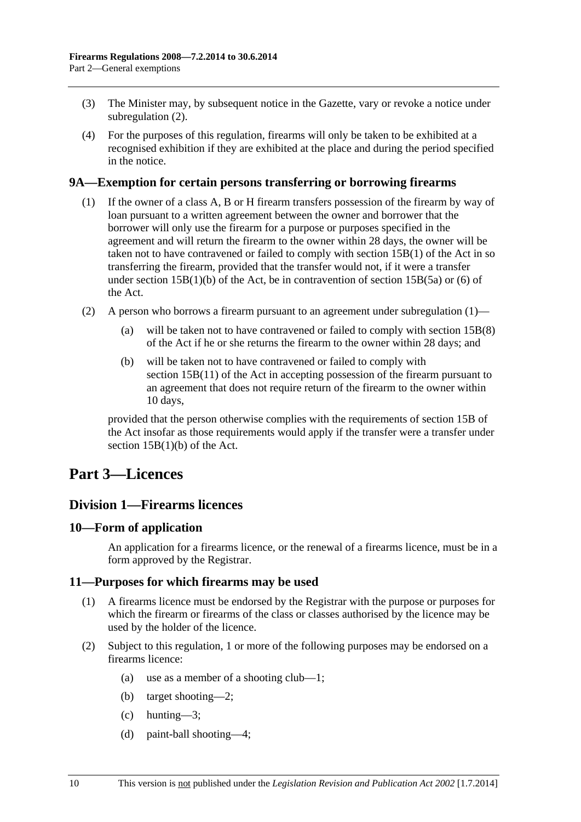- <span id="page-9-0"></span> (3) The Minister may, by subsequent notice in the Gazette, vary or revoke a notice under [subregulation \(2\).](#page-8-0)
- (4) For the purposes of this regulation, firearms will only be taken to be exhibited at a recognised exhibition if they are exhibited at the place and during the period specified in the notice.

#### **9A—Exemption for certain persons transferring or borrowing firearms**

- (1) If the owner of a class A, B or H firearm transfers possession of the firearm by way of loan pursuant to a written agreement between the owner and borrower that the borrower will only use the firearm for a purpose or purposes specified in the agreement and will return the firearm to the owner within 28 days, the owner will be taken not to have contravened or failed to comply with section 15B(1) of the Act in so transferring the firearm, provided that the transfer would not, if it were a transfer under section  $15B(1)(b)$  of the Act, be in contravention of section  $15B(5a)$  or (6) of the Act.
- (2) A person who borrows a firearm pursuant to an agreement under [subregulation \(1\)](#page-9-0)
	- (a) will be taken not to have contravened or failed to comply with section 15B(8) of the Act if he or she returns the firearm to the owner within 28 days; and
	- (b) will be taken not to have contravened or failed to comply with section 15B(11) of the Act in accepting possession of the firearm pursuant to an agreement that does not require return of the firearm to the owner within 10 days,

provided that the person otherwise complies with the requirements of section 15B of the Act insofar as those requirements would apply if the transfer were a transfer under section 15B(1)(b) of the Act.

## **Part 3—Licences**

## **Division 1—Firearms licences**

#### **10—Form of application**

An application for a firearms licence, or the renewal of a firearms licence, must be in a form approved by the Registrar.

#### **11—Purposes for which firearms may be used**

- (1) A firearms licence must be endorsed by the Registrar with the purpose or purposes for which the firearm or firearms of the class or classes authorised by the licence may be used by the holder of the licence.
- (2) Subject to this regulation, 1 or more of the following purposes may be endorsed on a firearms licence<sup>.</sup>
	- (a) use as a member of a shooting club—1;
	- (b) target shooting—2;
	- $(c)$  hunting—3;
	- (d) paint-ball shooting—4;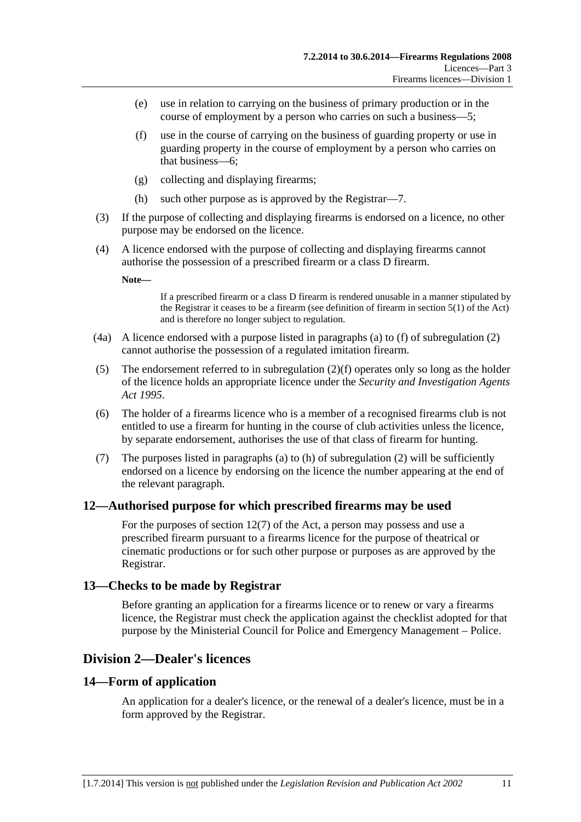- <span id="page-10-0"></span> (e) use in relation to carrying on the business of primary production or in the course of employment by a person who carries on such a business—5;
- (f) use in the course of carrying on the business of guarding property or use in guarding property in the course of employment by a person who carries on that business—6;
- (g) collecting and displaying firearms;
- (h) such other purpose as is approved by the Registrar—7.
- (3) If the purpose of collecting and displaying firearms is endorsed on a licence, no other purpose may be endorsed on the licence.
- (4) A licence endorsed with the purpose of collecting and displaying firearms cannot authorise the possession of a prescribed firearm or a class D firearm.

**Note—** 

If a prescribed firearm or a class D firearm is rendered unusable in a manner stipulated by the Registrar it ceases to be a firearm (see definition of firearm in section 5(1) of the Act) and is therefore no longer subject to regulation.

- (4a) A licence endorsed with a purpose listed in paragraphs [\(a\)](#page-9-0) to [\(f\)](#page-10-0) of [subregulation \(2\)](#page-9-0)  cannot authorise the possession of a regulated imitation firearm.
- (5) The endorsement referred to in [subregulation \(2\)\(f\)](#page-10-0) operates only so long as the holder of the licence holds an appropriate licence under the *[Security and Investigation Agents](http://www.legislation.sa.gov.au/index.aspx?action=legref&type=act&legtitle=Security%20and%20Investigation%20Agents%20Act%201995)  [Act 1995](http://www.legislation.sa.gov.au/index.aspx?action=legref&type=act&legtitle=Security%20and%20Investigation%20Agents%20Act%201995)*.
- (6) The holder of a firearms licence who is a member of a recognised firearms club is not entitled to use a firearm for hunting in the course of club activities unless the licence, by separate endorsement, authorises the use of that class of firearm for hunting.
- (7) The purposes listed in [paragraphs \(a\)](#page-9-0) to [\(h\)](#page-10-0) of [subregulation \(2\)](#page-9-0) will be sufficiently endorsed on a licence by endorsing on the licence the number appearing at the end of the relevant paragraph.

#### **12—Authorised purpose for which prescribed firearms may be used**

For the purposes of section 12(7) of the Act, a person may possess and use a prescribed firearm pursuant to a firearms licence for the purpose of theatrical or cinematic productions or for such other purpose or purposes as are approved by the Registrar.

#### **13—Checks to be made by Registrar**

Before granting an application for a firearms licence or to renew or vary a firearms licence, the Registrar must check the application against the checklist adopted for that purpose by the Ministerial Council for Police and Emergency Management – Police.

#### **Division 2—Dealer's licences**

#### **14—Form of application**

An application for a dealer's licence, or the renewal of a dealer's licence, must be in a form approved by the Registrar.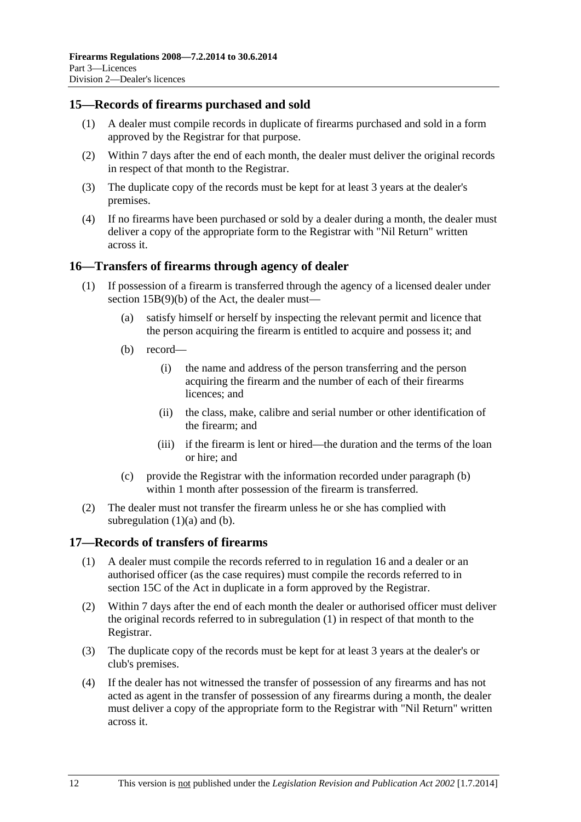#### <span id="page-11-0"></span>**15—Records of firearms purchased and sold**

- (1) A dealer must compile records in duplicate of firearms purchased and sold in a form approved by the Registrar for that purpose.
- (2) Within 7 days after the end of each month, the dealer must deliver the original records in respect of that month to the Registrar.
- (3) The duplicate copy of the records must be kept for at least 3 years at the dealer's premises.
- (4) If no firearms have been purchased or sold by a dealer during a month, the dealer must deliver a copy of the appropriate form to the Registrar with "Nil Return" written across it.

#### **16—Transfers of firearms through agency of dealer**

- (1) If possession of a firearm is transferred through the agency of a licensed dealer under section 15B(9)(b) of the Act, the dealer must—
	- (a) satisfy himself or herself by inspecting the relevant permit and licence that the person acquiring the firearm is entitled to acquire and possess it; and
	- (b) record—
		- (i) the name and address of the person transferring and the person acquiring the firearm and the number of each of their firearms licences; and
		- (ii) the class, make, calibre and serial number or other identification of the firearm; and
		- (iii) if the firearm is lent or hired—the duration and the terms of the loan or hire; and
	- (c) provide the Registrar with the information recorded under [paragraph \(b\)](#page-11-0) within 1 month after possession of the firearm is transferred.
- (2) The dealer must not transfer the firearm unless he or she has complied with subregulation  $(1)(a)$  and  $(b)$ .

#### **17—Records of transfers of firearms**

- (1) A dealer must compile the records referred to in [regulation 16](#page-11-0) and a dealer or an authorised officer (as the case requires) must compile the records referred to in section 15C of the Act in duplicate in a form approved by the Registrar.
- (2) Within 7 days after the end of each month the dealer or authorised officer must deliver the original records referred to in [subregulation \(1\)](#page-11-0) in respect of that month to the Registrar.
- (3) The duplicate copy of the records must be kept for at least 3 years at the dealer's or club's premises.
- (4) If the dealer has not witnessed the transfer of possession of any firearms and has not acted as agent in the transfer of possession of any firearms during a month, the dealer must deliver a copy of the appropriate form to the Registrar with "Nil Return" written across it.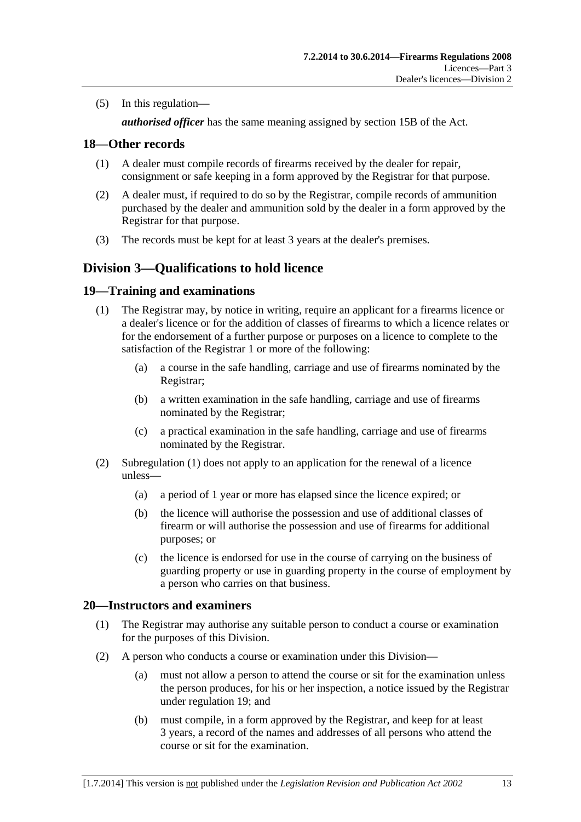<span id="page-12-0"></span>(5) In this regulation—

*authorised officer* has the same meaning assigned by section 15B of the Act.

#### **18—Other records**

- (1) A dealer must compile records of firearms received by the dealer for repair, consignment or safe keeping in a form approved by the Registrar for that purpose.
- (2) A dealer must, if required to do so by the Registrar, compile records of ammunition purchased by the dealer and ammunition sold by the dealer in a form approved by the Registrar for that purpose.
- (3) The records must be kept for at least 3 years at the dealer's premises.

## **Division 3—Qualifications to hold licence**

#### **19—Training and examinations**

- (1) The Registrar may, by notice in writing, require an applicant for a firearms licence or a dealer's licence or for the addition of classes of firearms to which a licence relates or for the endorsement of a further purpose or purposes on a licence to complete to the satisfaction of the Registrar 1 or more of the following:
	- (a) a course in the safe handling, carriage and use of firearms nominated by the Registrar;
	- (b) a written examination in the safe handling, carriage and use of firearms nominated by the Registrar;
	- (c) a practical examination in the safe handling, carriage and use of firearms nominated by the Registrar.
- (2) [Subregulation \(1\)](#page-12-0) does not apply to an application for the renewal of a licence unless—
	- (a) a period of 1 year or more has elapsed since the licence expired; or
	- (b) the licence will authorise the possession and use of additional classes of firearm or will authorise the possession and use of firearms for additional purposes; or
	- (c) the licence is endorsed for use in the course of carrying on the business of guarding property or use in guarding property in the course of employment by a person who carries on that business.

#### **20—Instructors and examiners**

- (1) The Registrar may authorise any suitable person to conduct a course or examination for the purposes of this Division.
- (2) A person who conducts a course or examination under this Division—
	- (a) must not allow a person to attend the course or sit for the examination unless the person produces, for his or her inspection, a notice issued by the Registrar under [regulation 19;](#page-12-0) and
	- (b) must compile, in a form approved by the Registrar, and keep for at least 3 years, a record of the names and addresses of all persons who attend the course or sit for the examination.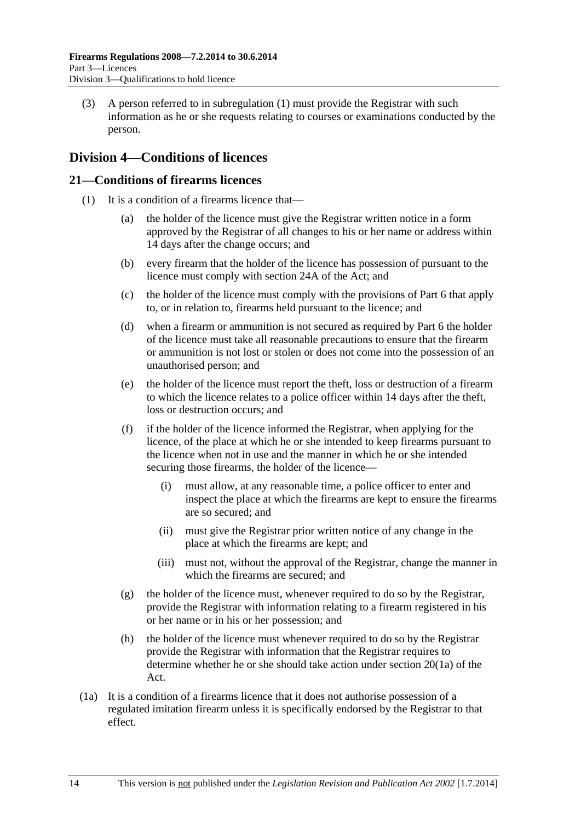<span id="page-13-0"></span> (3) A person referred to in [subregulation \(1\)](#page-12-0) must provide the Registrar with such information as he or she requests relating to courses or examinations conducted by the person.

## **Division 4—Conditions of licences**

#### **21—Conditions of firearms licences**

- (1) It is a condition of a firearms licence that—
	- (a) the holder of the licence must give the Registrar written notice in a form approved by the Registrar of all changes to his or her name or address within 14 days after the change occurs; and
	- (b) every firearm that the holder of the licence has possession of pursuant to the licence must comply with section 24A of the Act; and
	- (c) the holder of the licence must comply with the provisions of [Part 6](#page-22-0) that apply to, or in relation to, firearms held pursuant to the licence; and
	- (d) when a firearm or ammunition is not secured as required by [Part 6](#page-22-0) the holder of the licence must take all reasonable precautions to ensure that the firearm or ammunition is not lost or stolen or does not come into the possession of an unauthorised person; and
	- (e) the holder of the licence must report the theft, loss or destruction of a firearm to which the licence relates to a police officer within 14 days after the theft, loss or destruction occurs; and
	- (f) if the holder of the licence informed the Registrar, when applying for the licence, of the place at which he or she intended to keep firearms pursuant to the licence when not in use and the manner in which he or she intended securing those firearms, the holder of the licence—
		- (i) must allow, at any reasonable time, a police officer to enter and inspect the place at which the firearms are kept to ensure the firearms are so secured; and
		- (ii) must give the Registrar prior written notice of any change in the place at which the firearms are kept; and
		- (iii) must not, without the approval of the Registrar, change the manner in which the firearms are secured; and
	- (g) the holder of the licence must, whenever required to do so by the Registrar, provide the Registrar with information relating to a firearm registered in his or her name or in his or her possession; and
	- (h) the holder of the licence must whenever required to do so by the Registrar provide the Registrar with information that the Registrar requires to determine whether he or she should take action under section 20(1a) of the Act.
- (1a) It is a condition of a firearms licence that it does not authorise possession of a regulated imitation firearm unless it is specifically endorsed by the Registrar to that effect.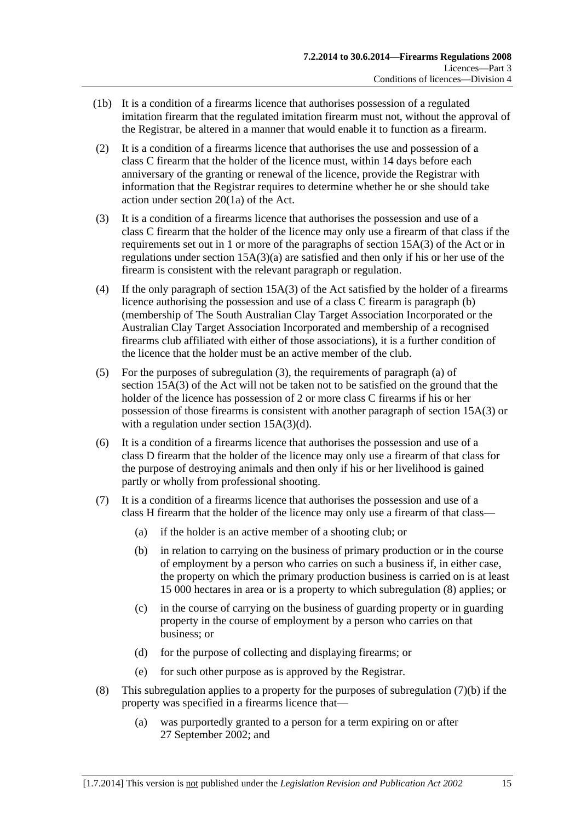- <span id="page-14-0"></span> (1b) It is a condition of a firearms licence that authorises possession of a regulated imitation firearm that the regulated imitation firearm must not, without the approval of the Registrar, be altered in a manner that would enable it to function as a firearm.
- (2) It is a condition of a firearms licence that authorises the use and possession of a class C firearm that the holder of the licence must, within 14 days before each anniversary of the granting or renewal of the licence, provide the Registrar with information that the Registrar requires to determine whether he or she should take action under section 20(1a) of the Act.
- (3) It is a condition of a firearms licence that authorises the possession and use of a class C firearm that the holder of the licence may only use a firearm of that class if the requirements set out in 1 or more of the paragraphs of section 15A(3) of the Act or in regulations under section  $15A(3)(a)$  are satisfied and then only if his or her use of the firearm is consistent with the relevant paragraph or regulation.
- (4) If the only paragraph of section 15A(3) of the Act satisfied by the holder of a firearms licence authorising the possession and use of a class C firearm is paragraph (b) (membership of The South Australian Clay Target Association Incorporated or the Australian Clay Target Association Incorporated and membership of a recognised firearms club affiliated with either of those associations), it is a further condition of the licence that the holder must be an active member of the club.
- (5) For the purposes of [subregulation \(3\),](#page-14-0) the requirements of paragraph (a) of section 15A(3) of the Act will not be taken not to be satisfied on the ground that the holder of the licence has possession of 2 or more class C firearms if his or her possession of those firearms is consistent with another paragraph of section 15A(3) or with a regulation under section 15A(3)(d).
- (6) It is a condition of a firearms licence that authorises the possession and use of a class D firearm that the holder of the licence may only use a firearm of that class for the purpose of destroying animals and then only if his or her livelihood is gained partly or wholly from professional shooting.
- (7) It is a condition of a firearms licence that authorises the possession and use of a class H firearm that the holder of the licence may only use a firearm of that class—
	- (a) if the holder is an active member of a shooting club; or
	- (b) in relation to carrying on the business of primary production or in the course of employment by a person who carries on such a business if, in either case, the property on which the primary production business is carried on is at least 15 000 hectares in area or is a property to which [subregulation \(8\)](#page-14-0) applies; or
	- (c) in the course of carrying on the business of guarding property or in guarding property in the course of employment by a person who carries on that business; or
	- (d) for the purpose of collecting and displaying firearms; or
	- (e) for such other purpose as is approved by the Registrar.
- (8) This subregulation applies to a property for the purposes of subregulation  $(7)(b)$  if the property was specified in a firearms licence that—
	- (a) was purportedly granted to a person for a term expiring on or after 27 September 2002; and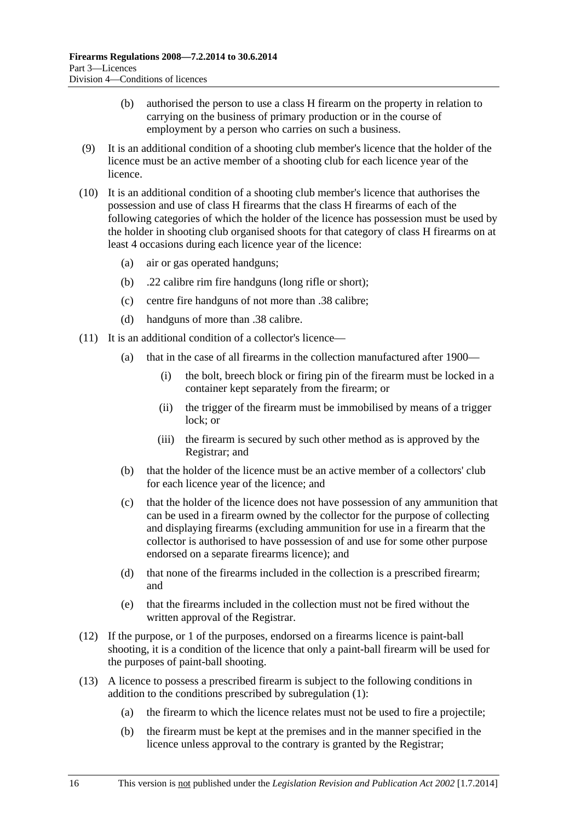- (b) authorised the person to use a class H firearm on the property in relation to carrying on the business of primary production or in the course of employment by a person who carries on such a business.
- (9) It is an additional condition of a shooting club member's licence that the holder of the licence must be an active member of a shooting club for each licence year of the licence.
- (10) It is an additional condition of a shooting club member's licence that authorises the possession and use of class H firearms that the class H firearms of each of the following categories of which the holder of the licence has possession must be used by the holder in shooting club organised shoots for that category of class H firearms on at least 4 occasions during each licence year of the licence:
	- (a) air or gas operated handguns;
	- (b) .22 calibre rim fire handguns (long rifle or short);
	- (c) centre fire handguns of not more than .38 calibre;
	- (d) handguns of more than .38 calibre.
- (11) It is an additional condition of a collector's licence—
	- (a) that in the case of all firearms in the collection manufactured after 1900—
		- (i) the bolt, breech block or firing pin of the firearm must be locked in a container kept separately from the firearm; or
		- (ii) the trigger of the firearm must be immobilised by means of a trigger lock; or
		- (iii) the firearm is secured by such other method as is approved by the Registrar; and
	- (b) that the holder of the licence must be an active member of a collectors' club for each licence year of the licence; and
	- (c) that the holder of the licence does not have possession of any ammunition that can be used in a firearm owned by the collector for the purpose of collecting and displaying firearms (excluding ammunition for use in a firearm that the collector is authorised to have possession of and use for some other purpose endorsed on a separate firearms licence); and
	- (d) that none of the firearms included in the collection is a prescribed firearm; and
	- (e) that the firearms included in the collection must not be fired without the written approval of the Registrar.
- (12) If the purpose, or 1 of the purposes, endorsed on a firearms licence is paint-ball shooting, it is a condition of the licence that only a paint-ball firearm will be used for the purposes of paint-ball shooting.
- (13) A licence to possess a prescribed firearm is subject to the following conditions in addition to the conditions prescribed by [subregulation \(1\):](#page-13-0)
	- (a) the firearm to which the licence relates must not be used to fire a projectile;
	- (b) the firearm must be kept at the premises and in the manner specified in the licence unless approval to the contrary is granted by the Registrar;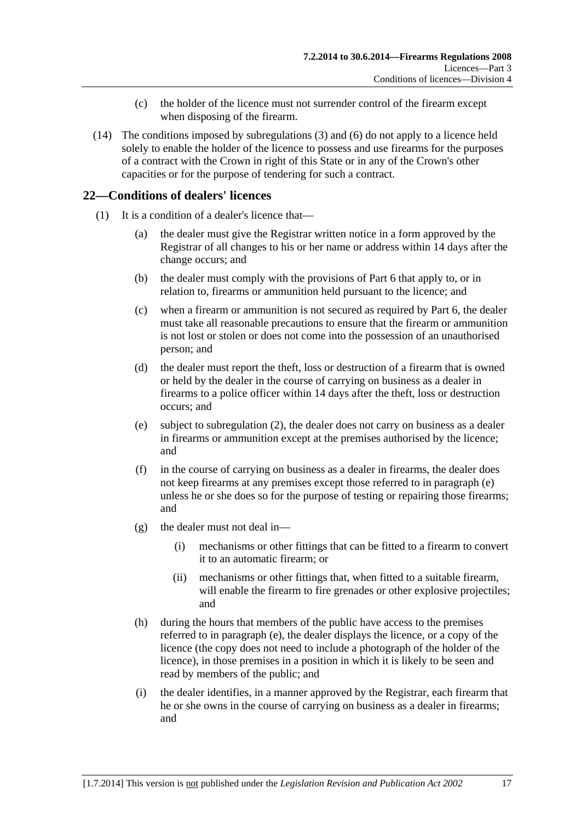- (c) the holder of the licence must not surrender control of the firearm except when disposing of the firearm.
- <span id="page-16-0"></span> (14) The conditions imposed by [subregulations \(3\)](#page-14-0) and [\(6\)](#page-14-0) do not apply to a licence held solely to enable the holder of the licence to possess and use firearms for the purposes of a contract with the Crown in right of this State or in any of the Crown's other capacities or for the purpose of tendering for such a contract.

### **22—Conditions of dealers' licences**

- (1) It is a condition of a dealer's licence that—
	- (a) the dealer must give the Registrar written notice in a form approved by the Registrar of all changes to his or her name or address within 14 days after the change occurs; and
	- (b) the dealer must comply with the provisions of [Part 6](#page-22-0) that apply to, or in relation to, firearms or ammunition held pursuant to the licence; and
	- (c) when a firearm or ammunition is not secured as required by [Part 6](#page-22-0), the dealer must take all reasonable precautions to ensure that the firearm or ammunition is not lost or stolen or does not come into the possession of an unauthorised person; and
	- (d) the dealer must report the theft, loss or destruction of a firearm that is owned or held by the dealer in the course of carrying on business as a dealer in firearms to a police officer within 14 days after the theft, loss or destruction occurs; and
	- (e) subject to [subregulation \(2\),](#page-17-0) the dealer does not carry on business as a dealer in firearms or ammunition except at the premises authorised by the licence; and
	- (f) in the course of carrying on business as a dealer in firearms, the dealer does not keep firearms at any premises except those referred to in [paragraph \(e\)](#page-16-0)  unless he or she does so for the purpose of testing or repairing those firearms; and
	- (g) the dealer must not deal in—
		- (i) mechanisms or other fittings that can be fitted to a firearm to convert it to an automatic firearm; or
		- (ii) mechanisms or other fittings that, when fitted to a suitable firearm, will enable the firearm to fire grenades or other explosive projectiles; and
	- (h) during the hours that members of the public have access to the premises referred to in [paragraph \(e\),](#page-16-0) the dealer displays the licence, or a copy of the licence (the copy does not need to include a photograph of the holder of the licence), in those premises in a position in which it is likely to be seen and read by members of the public; and
	- (i) the dealer identifies, in a manner approved by the Registrar, each firearm that he or she owns in the course of carrying on business as a dealer in firearms; and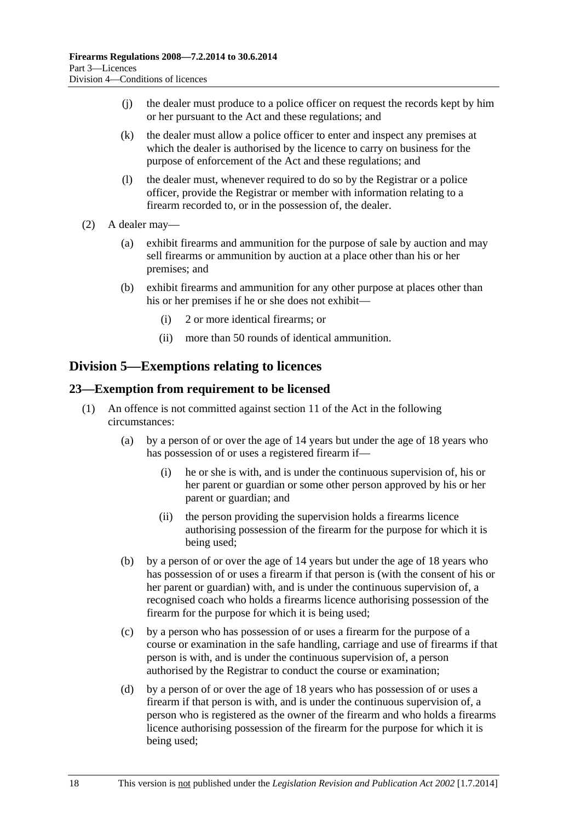- <span id="page-17-0"></span> (j) the dealer must produce to a police officer on request the records kept by him or her pursuant to the Act and these regulations; and
- (k) the dealer must allow a police officer to enter and inspect any premises at which the dealer is authorised by the licence to carry on business for the purpose of enforcement of the Act and these regulations; and
- (l) the dealer must, whenever required to do so by the Registrar or a police officer, provide the Registrar or member with information relating to a firearm recorded to, or in the possession of, the dealer.
- (2) A dealer may—
	- (a) exhibit firearms and ammunition for the purpose of sale by auction and may sell firearms or ammunition by auction at a place other than his or her premises; and
	- (b) exhibit firearms and ammunition for any other purpose at places other than his or her premises if he or she does not exhibit—
		- (i) 2 or more identical firearms; or
		- (ii) more than 50 rounds of identical ammunition.

## **Division 5—Exemptions relating to licences**

#### **23—Exemption from requirement to be licensed**

- (1) An offence is not committed against section 11 of the Act in the following circumstances:
	- (a) by a person of or over the age of 14 years but under the age of 18 years who has possession of or uses a registered firearm if—
		- (i) he or she is with, and is under the continuous supervision of, his or her parent or guardian or some other person approved by his or her parent or guardian; and
		- (ii) the person providing the supervision holds a firearms licence authorising possession of the firearm for the purpose for which it is being used;
	- (b) by a person of or over the age of 14 years but under the age of 18 years who has possession of or uses a firearm if that person is (with the consent of his or her parent or guardian) with, and is under the continuous supervision of, a recognised coach who holds a firearms licence authorising possession of the firearm for the purpose for which it is being used;
	- (c) by a person who has possession of or uses a firearm for the purpose of a course or examination in the safe handling, carriage and use of firearms if that person is with, and is under the continuous supervision of, a person authorised by the Registrar to conduct the course or examination;
	- (d) by a person of or over the age of 18 years who has possession of or uses a firearm if that person is with, and is under the continuous supervision of, a person who is registered as the owner of the firearm and who holds a firearms licence authorising possession of the firearm for the purpose for which it is being used;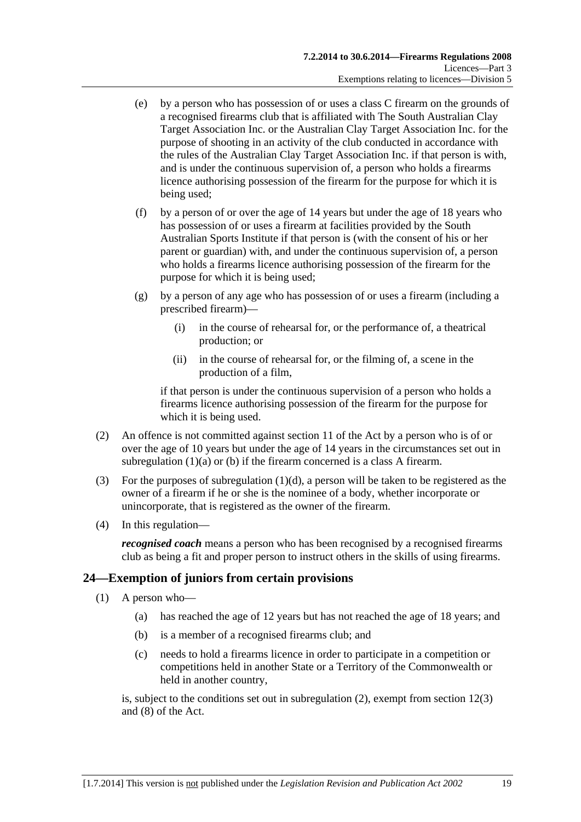- <span id="page-18-0"></span> (e) by a person who has possession of or uses a class C firearm on the grounds of a recognised firearms club that is affiliated with The South Australian Clay Target Association Inc. or the Australian Clay Target Association Inc. for the purpose of shooting in an activity of the club conducted in accordance with the rules of the Australian Clay Target Association Inc. if that person is with, and is under the continuous supervision of, a person who holds a firearms licence authorising possession of the firearm for the purpose for which it is being used;
- (f) by a person of or over the age of 14 years but under the age of 18 years who has possession of or uses a firearm at facilities provided by the South Australian Sports Institute if that person is (with the consent of his or her parent or guardian) with, and under the continuous supervision of, a person who holds a firearms licence authorising possession of the firearm for the purpose for which it is being used;
- (g) by a person of any age who has possession of or uses a firearm (including a prescribed firearm)—
	- (i) in the course of rehearsal for, or the performance of, a theatrical production; or
	- (ii) in the course of rehearsal for, or the filming of, a scene in the production of a film,

if that person is under the continuous supervision of a person who holds a firearms licence authorising possession of the firearm for the purpose for which it is being used.

- (2) An offence is not committed against section 11 of the Act by a person who is of or over the age of 10 years but under the age of 14 years in the circumstances set out in [subregulation \(1\)\(a\)](#page-17-0) or [\(b\)](#page-17-0) if the firearm concerned is a class A firearm.
- (3) For the purposes of [subregulation \(1\)\(d\)](#page-17-0), a person will be taken to be registered as the owner of a firearm if he or she is the nominee of a body, whether incorporate or unincorporate, that is registered as the owner of the firearm.
- (4) In this regulation—

*recognised coach* means a person who has been recognised by a recognised firearms club as being a fit and proper person to instruct others in the skills of using firearms.

#### **24—Exemption of juniors from certain provisions**

- (1) A person who—
	- (a) has reached the age of 12 years but has not reached the age of 18 years; and
	- (b) is a member of a recognised firearms club; and
	- (c) needs to hold a firearms licence in order to participate in a competition or competitions held in another State or a Territory of the Commonwealth or held in another country,

is, subject to the conditions set out in [subregulation \(2\)](#page-19-0), exempt from section 12(3) and (8) of the Act.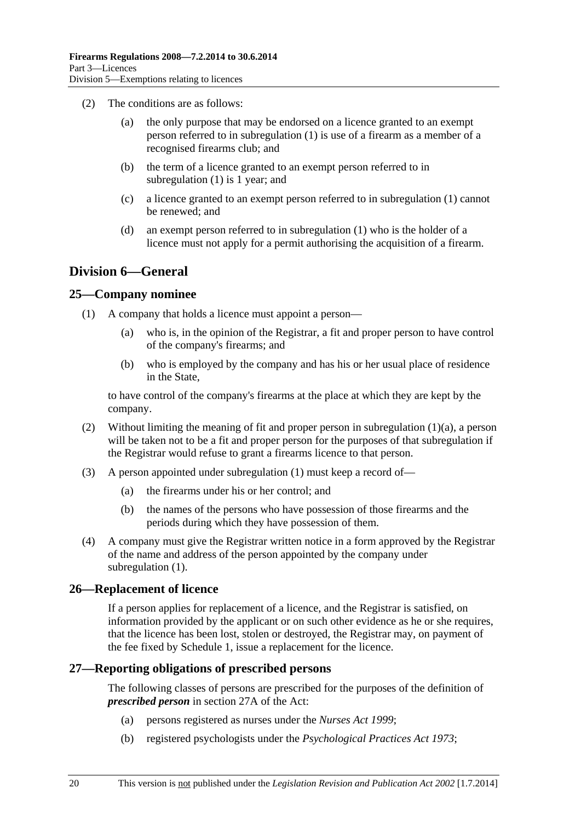- <span id="page-19-0"></span> (2) The conditions are as follows:
	- (a) the only purpose that may be endorsed on a licence granted to an exempt person referred to in [subregulation \(1\)](#page-18-0) is use of a firearm as a member of a recognised firearms club; and
	- (b) the term of a licence granted to an exempt person referred to in [subregulation \(1\)](#page-18-0) is 1 year; and
	- (c) a licence granted to an exempt person referred to in [subregulation \(1\)](#page-18-0) cannot be renewed; and
	- (d) an exempt person referred to in [subregulation \(1\)](#page-18-0) who is the holder of a licence must not apply for a permit authorising the acquisition of a firearm.

## **Division 6—General**

#### **25—Company nominee**

- (1) A company that holds a licence must appoint a person—
	- (a) who is, in the opinion of the Registrar, a fit and proper person to have control of the company's firearms; and
	- (b) who is employed by the company and has his or her usual place of residence in the State,

to have control of the company's firearms at the place at which they are kept by the company.

- (2) Without limiting the meaning of fit and proper person in [subregulation \(1\)\(a\),](#page-19-0) a person will be taken not to be a fit and proper person for the purposes of that subregulation if the Registrar would refuse to grant a firearms licence to that person.
- (3) A person appointed under [subregulation \(1\)](#page-19-0) must keep a record of—
	- (a) the firearms under his or her control; and
	- (b) the names of the persons who have possession of those firearms and the periods during which they have possession of them.
- (4) A company must give the Registrar written notice in a form approved by the Registrar of the name and address of the person appointed by the company under [subregulation \(1\).](#page-19-0)

#### **26—Replacement of licence**

If a person applies for replacement of a licence, and the Registrar is satisfied, on information provided by the applicant or on such other evidence as he or she requires, that the licence has been lost, stolen or destroyed, the Registrar may, on payment of the fee fixed by [Schedule 1](#page-0-0), issue a replacement for the licence.

#### **27—Reporting obligations of prescribed persons**

The following classes of persons are prescribed for the purposes of the definition of *prescribed person* in section 27A of the Act:

- (a) persons registered as nurses under the *[Nurses Act 1999](http://www.legislation.sa.gov.au/index.aspx?action=legref&type=act&legtitle=Nurses%20Act%201999)*;
- (b) registered psychologists under the *[Psychological Practices Act 1973](http://www.legislation.sa.gov.au/index.aspx?action=legref&type=act&legtitle=Psychological%20Practices%20Act%201973)*;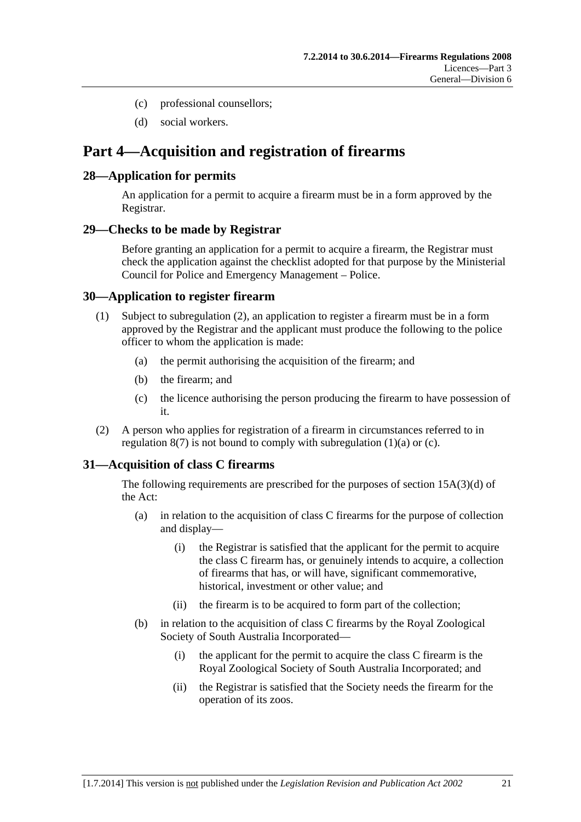- <span id="page-20-0"></span>(c) professional counsellors;
- (d) social workers.

## **Part 4—Acquisition and registration of firearms**

### **28—Application for permits**

An application for a permit to acquire a firearm must be in a form approved by the Registrar.

#### **29—Checks to be made by Registrar**

Before granting an application for a permit to acquire a firearm, the Registrar must check the application against the checklist adopted for that purpose by the Ministerial Council for Police and Emergency Management – Police.

### **30—Application to register firearm**

- (1) Subject to [subregulation \(2\),](#page-20-0) an application to register a firearm must be in a form approved by the Registrar and the applicant must produce the following to the police officer to whom the application is made:
	- (a) the permit authorising the acquisition of the firearm; and
	- (b) the firearm; and
	- (c) the licence authorising the person producing the firearm to have possession of it.
- (2) A person who applies for registration of a firearm in circumstances referred to in regulation  $8(7)$  is not bound to comply with subregulation  $(1)(a)$  or  $(c)$ .

## **31—Acquisition of class C firearms**

The following requirements are prescribed for the purposes of section 15A(3)(d) of the Act:

- (a) in relation to the acquisition of class C firearms for the purpose of collection and display—
	- (i) the Registrar is satisfied that the applicant for the permit to acquire the class C firearm has, or genuinely intends to acquire, a collection of firearms that has, or will have, significant commemorative, historical, investment or other value; and
	- (ii) the firearm is to be acquired to form part of the collection;
- (b) in relation to the acquisition of class C firearms by the Royal Zoological Society of South Australia Incorporated—
	- (i) the applicant for the permit to acquire the class C firearm is the Royal Zoological Society of South Australia Incorporated; and
	- (ii) the Registrar is satisfied that the Society needs the firearm for the operation of its zoos.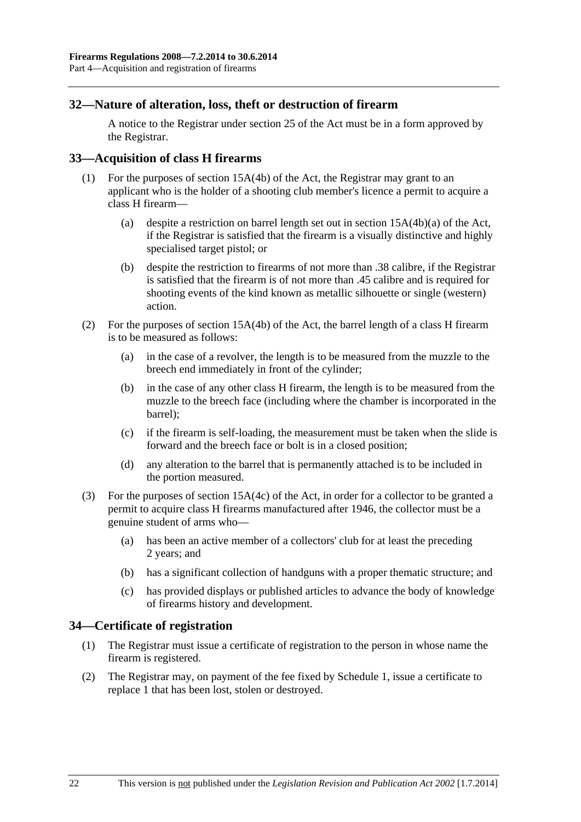#### <span id="page-21-0"></span>**32—Nature of alteration, loss, theft or destruction of firearm**

A notice to the Registrar under section 25 of the Act must be in a form approved by the Registrar.

#### **33—Acquisition of class H firearms**

- (1) For the purposes of section 15A(4b) of the Act, the Registrar may grant to an applicant who is the holder of a shooting club member's licence a permit to acquire a class H firearm—
	- (a) despite a restriction on barrel length set out in section 15A(4b)(a) of the Act, if the Registrar is satisfied that the firearm is a visually distinctive and highly specialised target pistol; or
	- (b) despite the restriction to firearms of not more than .38 calibre, if the Registrar is satisfied that the firearm is of not more than .45 calibre and is required for shooting events of the kind known as metallic silhouette or single (western) action.
- (2) For the purposes of section 15A(4b) of the Act, the barrel length of a class H firearm is to be measured as follows:
	- (a) in the case of a revolver, the length is to be measured from the muzzle to the breech end immediately in front of the cylinder;
	- (b) in the case of any other class H firearm, the length is to be measured from the muzzle to the breech face (including where the chamber is incorporated in the barrel);
	- (c) if the firearm is self-loading, the measurement must be taken when the slide is forward and the breech face or bolt is in a closed position;
	- (d) any alteration to the barrel that is permanently attached is to be included in the portion measured.
- (3) For the purposes of section 15A(4c) of the Act, in order for a collector to be granted a permit to acquire class H firearms manufactured after 1946, the collector must be a genuine student of arms who—
	- (a) has been an active member of a collectors' club for at least the preceding 2 years; and
	- (b) has a significant collection of handguns with a proper thematic structure; and
	- (c) has provided displays or published articles to advance the body of knowledge of firearms history and development.

#### **34—Certificate of registration**

- (1) The Registrar must issue a certificate of registration to the person in whose name the firearm is registered.
- (2) The Registrar may, on payment of the fee fixed by [Schedule 1,](#page-0-0) issue a certificate to replace 1 that has been lost, stolen or destroyed.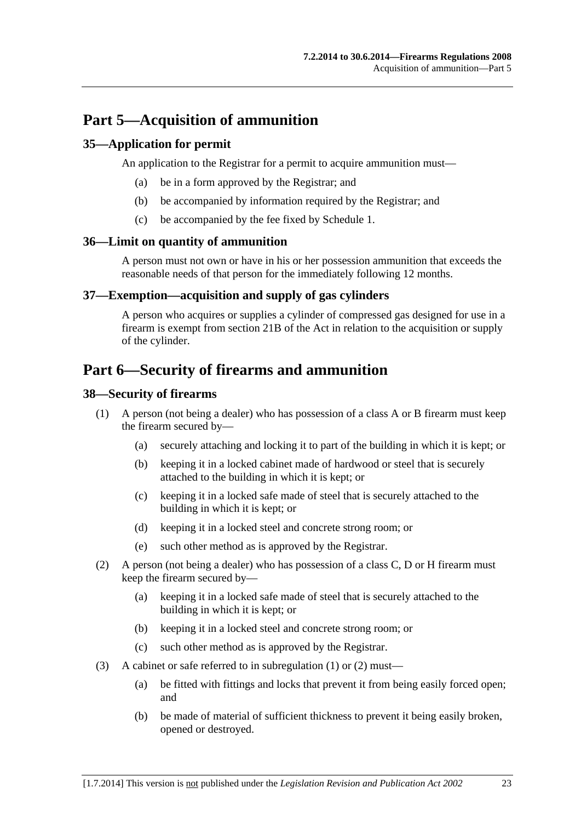## <span id="page-22-0"></span>**Part 5—Acquisition of ammunition**

### **35—Application for permit**

An application to the Registrar for a permit to acquire ammunition must—

- (a) be in a form approved by the Registrar; and
- (b) be accompanied by information required by the Registrar; and
- (c) be accompanied by the fee fixed by [Schedule 1.](#page-0-0)

#### **36—Limit on quantity of ammunition**

A person must not own or have in his or her possession ammunition that exceeds the reasonable needs of that person for the immediately following 12 months.

#### **37—Exemption—acquisition and supply of gas cylinders**

A person who acquires or supplies a cylinder of compressed gas designed for use in a firearm is exempt from section 21B of the Act in relation to the acquisition or supply of the cylinder.

## **Part 6—Security of firearms and ammunition**

#### **38—Security of firearms**

- (1) A person (not being a dealer) who has possession of a class A or B firearm must keep the firearm secured by—
	- (a) securely attaching and locking it to part of the building in which it is kept; or
	- (b) keeping it in a locked cabinet made of hardwood or steel that is securely attached to the building in which it is kept; or
	- (c) keeping it in a locked safe made of steel that is securely attached to the building in which it is kept; or
	- (d) keeping it in a locked steel and concrete strong room; or
	- (e) such other method as is approved by the Registrar.
- (2) A person (not being a dealer) who has possession of a class C, D or H firearm must keep the firearm secured by—
	- (a) keeping it in a locked safe made of steel that is securely attached to the building in which it is kept; or
	- (b) keeping it in a locked steel and concrete strong room; or
	- (c) such other method as is approved by the Registrar.
- (3) A cabinet or safe referred to in [subregulation \(1\)](#page-22-0) or [\(2\)](#page-22-0) must—
	- (a) be fitted with fittings and locks that prevent it from being easily forced open; and
	- (b) be made of material of sufficient thickness to prevent it being easily broken, opened or destroyed.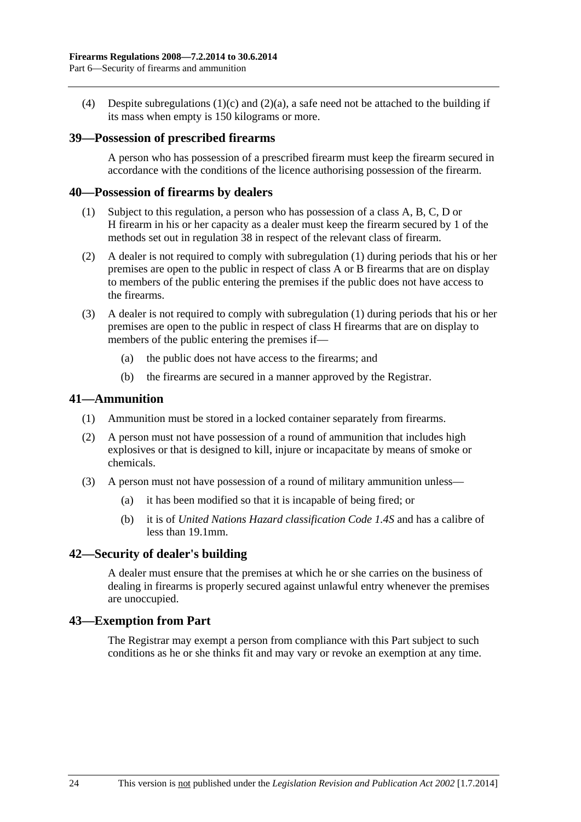<span id="page-23-0"></span>(4) Despite [subregulations \(1\)\(c\)](#page-22-0) and [\(2\)\(a\)](#page-22-0), a safe need not be attached to the building if its mass when empty is 150 kilograms or more.

#### **39—Possession of prescribed firearms**

A person who has possession of a prescribed firearm must keep the firearm secured in accordance with the conditions of the licence authorising possession of the firearm.

#### **40—Possession of firearms by dealers**

- (1) Subject to this regulation, a person who has possession of a class A, B, C, D or H firearm in his or her capacity as a dealer must keep the firearm secured by 1 of the methods set out in [regulation 38](#page-22-0) in respect of the relevant class of firearm.
- (2) A dealer is not required to comply with [subregulation \(1\)](#page-23-0) during periods that his or her premises are open to the public in respect of class A or B firearms that are on display to members of the public entering the premises if the public does not have access to the firearms.
- (3) A dealer is not required to comply with [subregulation \(1\)](#page-23-0) during periods that his or her premises are open to the public in respect of class H firearms that are on display to members of the public entering the premises if—
	- (a) the public does not have access to the firearms; and
	- (b) the firearms are secured in a manner approved by the Registrar.

#### **41—Ammunition**

- (1) Ammunition must be stored in a locked container separately from firearms.
- (2) A person must not have possession of a round of ammunition that includes high explosives or that is designed to kill, injure or incapacitate by means of smoke or chemicals.
- (3) A person must not have possession of a round of military ammunition unless—
	- (a) it has been modified so that it is incapable of being fired; or
	- (b) it is of *United Nations Hazard classification Code 1.4S* and has a calibre of less than 19.1mm.

#### **42—Security of dealer's building**

A dealer must ensure that the premises at which he or she carries on the business of dealing in firearms is properly secured against unlawful entry whenever the premises are unoccupied.

#### **43—Exemption from Part**

The Registrar may exempt a person from compliance with this Part subject to such conditions as he or she thinks fit and may vary or revoke an exemption at any time.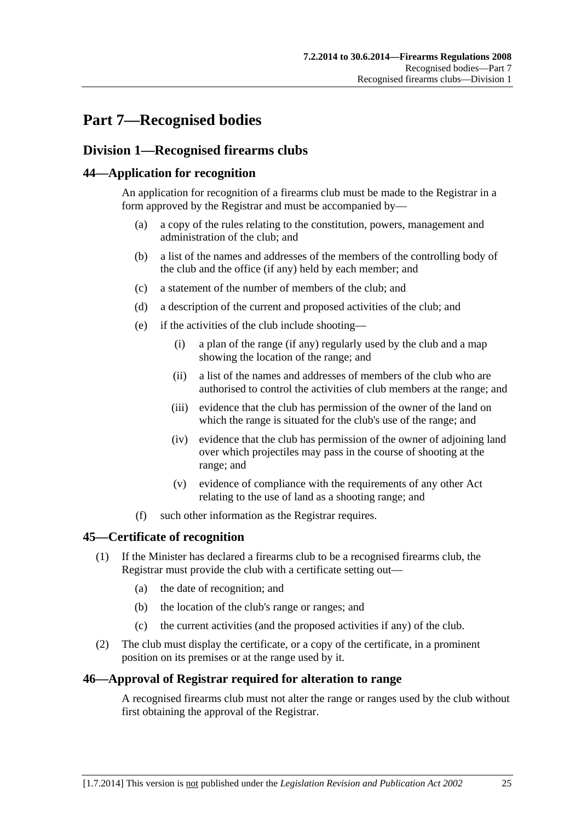## <span id="page-24-0"></span>**Part 7—Recognised bodies**

## **Division 1—Recognised firearms clubs**

### **44—Application for recognition**

An application for recognition of a firearms club must be made to the Registrar in a form approved by the Registrar and must be accompanied by—

- (a) a copy of the rules relating to the constitution, powers, management and administration of the club; and
- (b) a list of the names and addresses of the members of the controlling body of the club and the office (if any) held by each member; and
- (c) a statement of the number of members of the club; and
- (d) a description of the current and proposed activities of the club; and
- (e) if the activities of the club include shooting—
	- (i) a plan of the range (if any) regularly used by the club and a map showing the location of the range; and
	- (ii) a list of the names and addresses of members of the club who are authorised to control the activities of club members at the range; and
	- (iii) evidence that the club has permission of the owner of the land on which the range is situated for the club's use of the range; and
	- (iv) evidence that the club has permission of the owner of adjoining land over which projectiles may pass in the course of shooting at the range; and
	- (v) evidence of compliance with the requirements of any other Act relating to the use of land as a shooting range; and
- (f) such other information as the Registrar requires.

#### **45—Certificate of recognition**

- (1) If the Minister has declared a firearms club to be a recognised firearms club, the Registrar must provide the club with a certificate setting out—
	- (a) the date of recognition; and
	- (b) the location of the club's range or ranges; and
	- (c) the current activities (and the proposed activities if any) of the club.
- (2) The club must display the certificate, or a copy of the certificate, in a prominent position on its premises or at the range used by it.

#### **46—Approval of Registrar required for alteration to range**

A recognised firearms club must not alter the range or ranges used by the club without first obtaining the approval of the Registrar.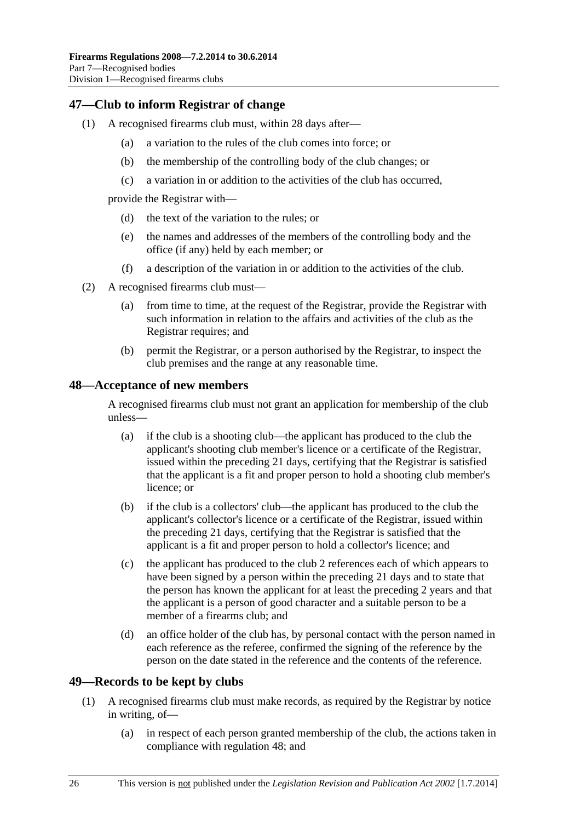### <span id="page-25-0"></span>**47—Club to inform Registrar of change**

- (1) A recognised firearms club must, within 28 days after—
	- (a) a variation to the rules of the club comes into force; or
	- (b) the membership of the controlling body of the club changes; or
	- (c) a variation in or addition to the activities of the club has occurred,

provide the Registrar with—

- (d) the text of the variation to the rules; or
- (e) the names and addresses of the members of the controlling body and the office (if any) held by each member; or
- (f) a description of the variation in or addition to the activities of the club.
- (2) A recognised firearms club must—
	- (a) from time to time, at the request of the Registrar, provide the Registrar with such information in relation to the affairs and activities of the club as the Registrar requires; and
	- (b) permit the Registrar, or a person authorised by the Registrar, to inspect the club premises and the range at any reasonable time.

#### **48—Acceptance of new members**

A recognised firearms club must not grant an application for membership of the club unless—

- (a) if the club is a shooting club—the applicant has produced to the club the applicant's shooting club member's licence or a certificate of the Registrar, issued within the preceding 21 days, certifying that the Registrar is satisfied that the applicant is a fit and proper person to hold a shooting club member's licence; or
- (b) if the club is a collectors' club—the applicant has produced to the club the applicant's collector's licence or a certificate of the Registrar, issued within the preceding 21 days, certifying that the Registrar is satisfied that the applicant is a fit and proper person to hold a collector's licence; and
- (c) the applicant has produced to the club 2 references each of which appears to have been signed by a person within the preceding 21 days and to state that the person has known the applicant for at least the preceding 2 years and that the applicant is a person of good character and a suitable person to be a member of a firearms club; and
- (d) an office holder of the club has, by personal contact with the person named in each reference as the referee, confirmed the signing of the reference by the person on the date stated in the reference and the contents of the reference.

#### **49—Records to be kept by clubs**

- (1) A recognised firearms club must make records, as required by the Registrar by notice in writing, of—
	- (a) in respect of each person granted membership of the club, the actions taken in compliance with [regulation 48;](#page-25-0) and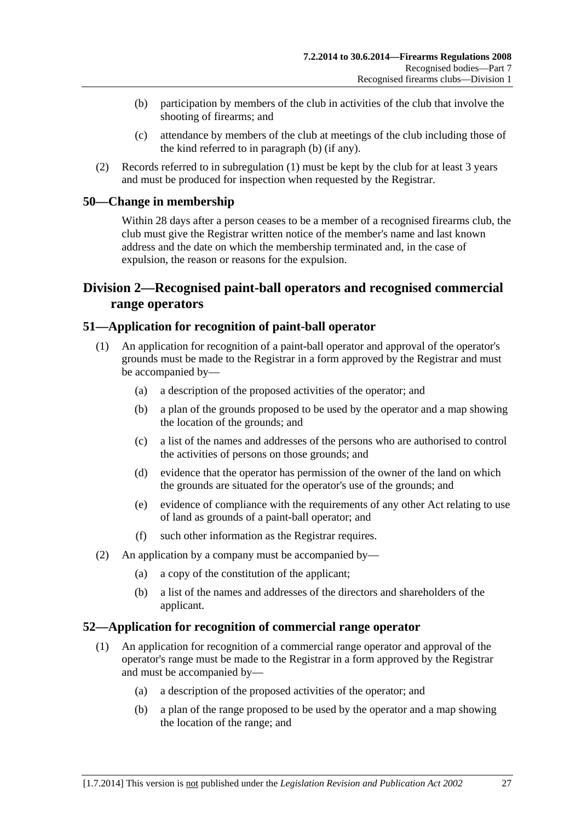- <span id="page-26-0"></span> (b) participation by members of the club in activities of the club that involve the shooting of firearms; and
- (c) attendance by members of the club at meetings of the club including those of the kind referred to in [paragraph \(b\)](#page-26-0) (if any).
- (2) Records referred to in [subregulation \(1\)](#page-25-0) must be kept by the club for at least 3 years and must be produced for inspection when requested by the Registrar.

#### **50—Change in membership**

Within 28 days after a person ceases to be a member of a recognised firearms club, the club must give the Registrar written notice of the member's name and last known address and the date on which the membership terminated and, in the case of expulsion, the reason or reasons for the expulsion.

## **Division 2—Recognised paint-ball operators and recognised commercial range operators**

#### **51—Application for recognition of paint-ball operator**

- (1) An application for recognition of a paint-ball operator and approval of the operator's grounds must be made to the Registrar in a form approved by the Registrar and must be accompanied by—
	- (a) a description of the proposed activities of the operator; and
	- (b) a plan of the grounds proposed to be used by the operator and a map showing the location of the grounds; and
	- (c) a list of the names and addresses of the persons who are authorised to control the activities of persons on those grounds; and
	- (d) evidence that the operator has permission of the owner of the land on which the grounds are situated for the operator's use of the grounds; and
	- (e) evidence of compliance with the requirements of any other Act relating to use of land as grounds of a paint-ball operator; and
	- (f) such other information as the Registrar requires.
- (2) An application by a company must be accompanied by—
	- (a) a copy of the constitution of the applicant;
	- (b) a list of the names and addresses of the directors and shareholders of the applicant.

#### **52—Application for recognition of commercial range operator**

- (1) An application for recognition of a commercial range operator and approval of the operator's range must be made to the Registrar in a form approved by the Registrar and must be accompanied by—
	- (a) a description of the proposed activities of the operator; and
	- (b) a plan of the range proposed to be used by the operator and a map showing the location of the range; and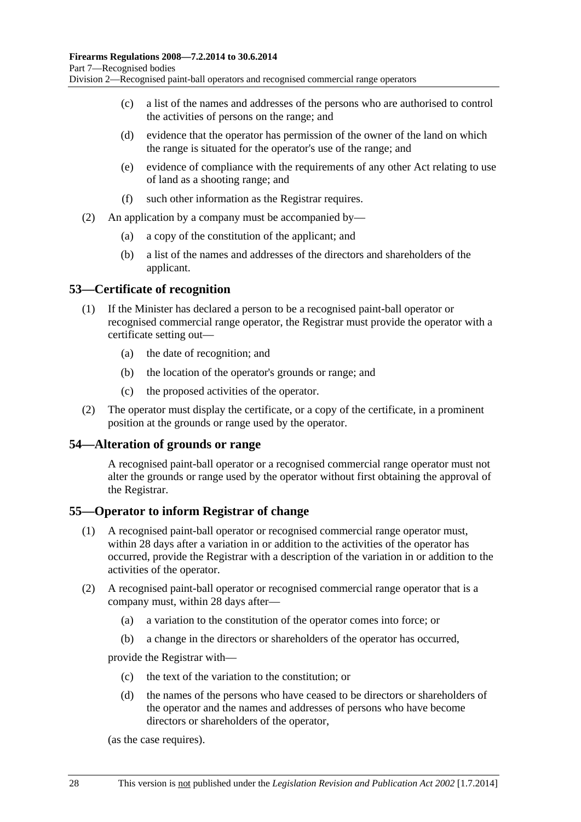- <span id="page-27-0"></span> (c) a list of the names and addresses of the persons who are authorised to control the activities of persons on the range; and
- (d) evidence that the operator has permission of the owner of the land on which the range is situated for the operator's use of the range; and
- (e) evidence of compliance with the requirements of any other Act relating to use of land as a shooting range; and
- (f) such other information as the Registrar requires.
- (2) An application by a company must be accompanied by—
	- (a) a copy of the constitution of the applicant; and
	- (b) a list of the names and addresses of the directors and shareholders of the applicant.

#### **53—Certificate of recognition**

- (1) If the Minister has declared a person to be a recognised paint-ball operator or recognised commercial range operator, the Registrar must provide the operator with a certificate setting out—
	- (a) the date of recognition; and
	- (b) the location of the operator's grounds or range; and
	- (c) the proposed activities of the operator.
- (2) The operator must display the certificate, or a copy of the certificate, in a prominent position at the grounds or range used by the operator.

#### **54—Alteration of grounds or range**

A recognised paint-ball operator or a recognised commercial range operator must not alter the grounds or range used by the operator without first obtaining the approval of the Registrar.

#### **55—Operator to inform Registrar of change**

- (1) A recognised paint-ball operator or recognised commercial range operator must, within 28 days after a variation in or addition to the activities of the operator has occurred, provide the Registrar with a description of the variation in or addition to the activities of the operator.
- (2) A recognised paint-ball operator or recognised commercial range operator that is a company must, within 28 days after—
	- (a) a variation to the constitution of the operator comes into force; or
	- (b) a change in the directors or shareholders of the operator has occurred,

provide the Registrar with—

- (c) the text of the variation to the constitution; or
- (d) the names of the persons who have ceased to be directors or shareholders of the operator and the names and addresses of persons who have become directors or shareholders of the operator,

(as the case requires).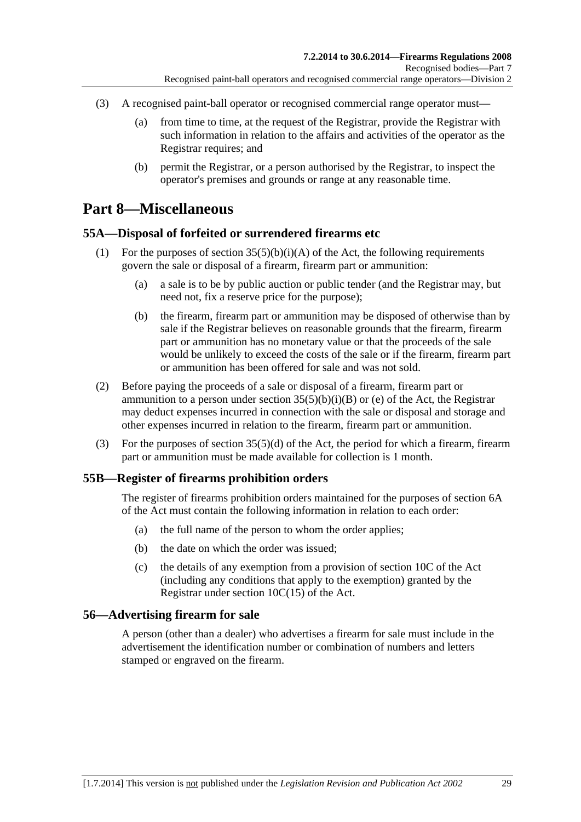- <span id="page-28-0"></span> (3) A recognised paint-ball operator or recognised commercial range operator must—
	- (a) from time to time, at the request of the Registrar, provide the Registrar with such information in relation to the affairs and activities of the operator as the Registrar requires; and
	- (b) permit the Registrar, or a person authorised by the Registrar, to inspect the operator's premises and grounds or range at any reasonable time.

## **Part 8—Miscellaneous**

### **55A—Disposal of forfeited or surrendered firearms etc**

- (1) For the purposes of section  $35(5)(b)(i)(A)$  of the Act, the following requirements govern the sale or disposal of a firearm, firearm part or ammunition:
	- (a) a sale is to be by public auction or public tender (and the Registrar may, but need not, fix a reserve price for the purpose);
	- (b) the firearm, firearm part or ammunition may be disposed of otherwise than by sale if the Registrar believes on reasonable grounds that the firearm, firearm part or ammunition has no monetary value or that the proceeds of the sale would be unlikely to exceed the costs of the sale or if the firearm, firearm part or ammunition has been offered for sale and was not sold.
- (2) Before paying the proceeds of a sale or disposal of a firearm, firearm part or ammunition to a person under section  $35(5)(b)(i)(B)$  or (e) of the Act, the Registrar may deduct expenses incurred in connection with the sale or disposal and storage and other expenses incurred in relation to the firearm, firearm part or ammunition.
- (3) For the purposes of section 35(5)(d) of the Act, the period for which a firearm, firearm part or ammunition must be made available for collection is 1 month.

#### **55B—Register of firearms prohibition orders**

The register of firearms prohibition orders maintained for the purposes of section 6A of the Act must contain the following information in relation to each order:

- (a) the full name of the person to whom the order applies;
- (b) the date on which the order was issued;
- (c) the details of any exemption from a provision of section 10C of the Act (including any conditions that apply to the exemption) granted by the Registrar under section 10C(15) of the Act.

#### **56—Advertising firearm for sale**

A person (other than a dealer) who advertises a firearm for sale must include in the advertisement the identification number or combination of numbers and letters stamped or engraved on the firearm.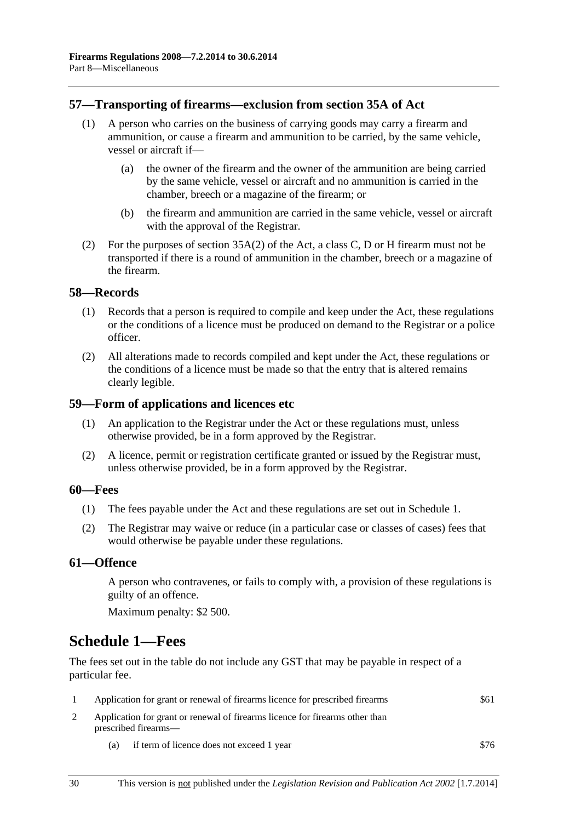#### <span id="page-29-0"></span>**57—Transporting of firearms—exclusion from section 35A of Act**

- (1) A person who carries on the business of carrying goods may carry a firearm and ammunition, or cause a firearm and ammunition to be carried, by the same vehicle, vessel or aircraft if—
	- (a) the owner of the firearm and the owner of the ammunition are being carried by the same vehicle, vessel or aircraft and no ammunition is carried in the chamber, breech or a magazine of the firearm; or
	- (b) the firearm and ammunition are carried in the same vehicle, vessel or aircraft with the approval of the Registrar.
- (2) For the purposes of section 35A(2) of the Act, a class C, D or H firearm must not be transported if there is a round of ammunition in the chamber, breech or a magazine of the firearm.

#### **58—Records**

- (1) Records that a person is required to compile and keep under the Act, these regulations or the conditions of a licence must be produced on demand to the Registrar or a police officer.
- (2) All alterations made to records compiled and kept under the Act, these regulations or the conditions of a licence must be made so that the entry that is altered remains clearly legible.

#### **59—Form of applications and licences etc**

- (1) An application to the Registrar under the Act or these regulations must, unless otherwise provided, be in a form approved by the Registrar.
- (2) A licence, permit or registration certificate granted or issued by the Registrar must, unless otherwise provided, be in a form approved by the Registrar.

#### **60—Fees**

- (1) The fees payable under the Act and these regulations are set out in [Schedule 1.](#page-29-0)
- (2) The Registrar may waive or reduce (in a particular case or classes of cases) fees that would otherwise be payable under these regulations.

#### **61—Offence**

A person who contravenes, or fails to comply with, a provision of these regulations is guilty of an offence.

Maximum penalty: \$2 500.

## **Schedule 1—Fees**

The fees set out in the table do not include any GST that may be payable in respect of a particular fee.

|     | Application for grant or renewal of firearms licence for prescribed firearms                         | \$61 |  |
|-----|------------------------------------------------------------------------------------------------------|------|--|
|     | Application for grant or renewal of firearms licence for firearms other than<br>prescribed firearms— |      |  |
| (a) | if term of licence does not exceed 1 year                                                            | \$76 |  |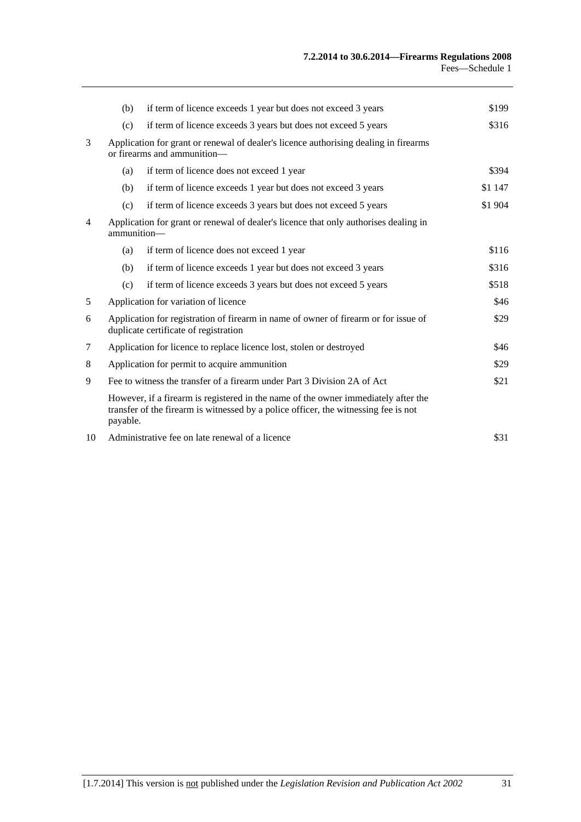| (b)                                                                                                                                  | if term of licence exceeds 1 year but does not exceed 3 years  | \$199                                                                                                                                                                                 |
|--------------------------------------------------------------------------------------------------------------------------------------|----------------------------------------------------------------|---------------------------------------------------------------------------------------------------------------------------------------------------------------------------------------|
| (c)                                                                                                                                  | if term of licence exceeds 3 years but does not exceed 5 years | \$316                                                                                                                                                                                 |
| Application for grant or renewal of dealer's licence authorising dealing in firearms<br>or firearms and ammunition-                  |                                                                |                                                                                                                                                                                       |
| (a)                                                                                                                                  | if term of licence does not exceed 1 year                      | \$394                                                                                                                                                                                 |
| (b)                                                                                                                                  | if term of licence exceeds 1 year but does not exceed 3 years  | \$1 147                                                                                                                                                                               |
| (c)                                                                                                                                  | if term of licence exceeds 3 years but does not exceed 5 years | \$1 904                                                                                                                                                                               |
| Application for grant or renewal of dealer's licence that only authorises dealing in<br>ammunition-                                  |                                                                |                                                                                                                                                                                       |
| (a)                                                                                                                                  | if term of licence does not exceed 1 year                      | \$116                                                                                                                                                                                 |
| (b)                                                                                                                                  | if term of licence exceeds 1 year but does not exceed 3 years  | \$316                                                                                                                                                                                 |
| (c)                                                                                                                                  | if term of licence exceeds 3 years but does not exceed 5 years | \$518                                                                                                                                                                                 |
| Application for variation of licence                                                                                                 |                                                                |                                                                                                                                                                                       |
| Application for registration of firearm in name of owner of firearm or for issue of<br>\$29<br>duplicate certificate of registration |                                                                |                                                                                                                                                                                       |
| Application for licence to replace licence lost, stolen or destroyed                                                                 |                                                                |                                                                                                                                                                                       |
| Application for permit to acquire ammunition                                                                                         |                                                                | \$29                                                                                                                                                                                  |
| Fee to witness the transfer of a firearm under Part 3 Division 2A of Act                                                             |                                                                |                                                                                                                                                                                       |
|                                                                                                                                      |                                                                |                                                                                                                                                                                       |
| Administrative fee on late renewal of a licence<br>10                                                                                |                                                                | \$31                                                                                                                                                                                  |
|                                                                                                                                      |                                                                | However, if a firearm is registered in the name of the owner immediately after the<br>transfer of the firearm is witnessed by a police officer, the witnessing fee is not<br>payable. |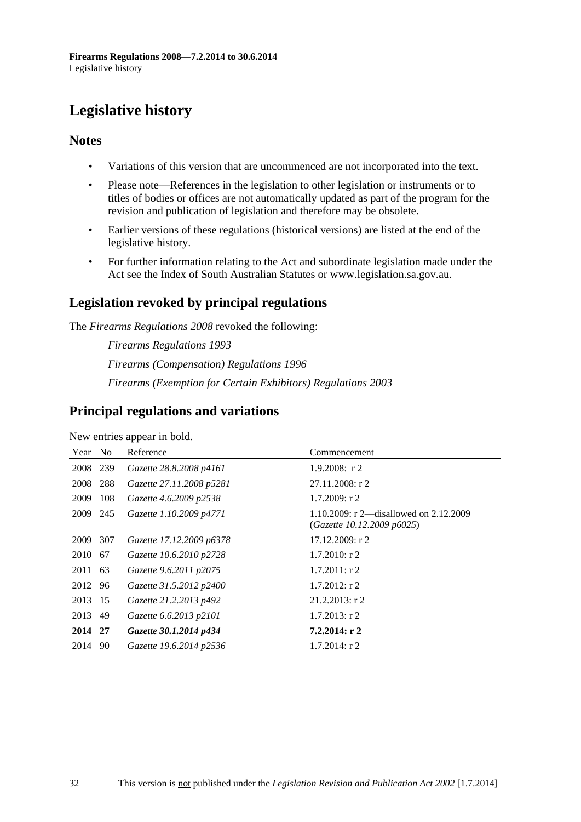# <span id="page-31-0"></span>**Legislative history**

### **Notes**

- Variations of this version that are uncommenced are not incorporated into the text.
- Please note—References in the legislation to other legislation or instruments or to titles of bodies or offices are not automatically updated as part of the program for the revision and publication of legislation and therefore may be obsolete.
- Earlier versions of these regulations (historical versions) are listed at the end of the legislative history.
- For further information relating to the Act and subordinate legislation made under the Act see the Index of South Australian Statutes or www.legislation.sa.gov.au.

## **Legislation revoked by principal regulations**

The *Firearms Regulations 2008* revoked the following:

*Firearms Regulations 1993 Firearms (Compensation) Regulations 1996 Firearms (Exemption for Certain Exhibitors) Regulations 2003*

### **Principal regulations and variations**

New entries appear in bold.

| Year No  |      | Reference                | Commencement                                                           |
|----------|------|--------------------------|------------------------------------------------------------------------|
| 2008 239 |      | Gazette 28.8.2008 p4161  | $1.9.2008$ : r 2                                                       |
| 2008     | 288  | Gazette 27.11.2008 p5281 | $27.11.2008:$ r 2                                                      |
| 2009     | 108  | Gazette 4.6.2009 p2538   | $1.7.2009$ : r 2                                                       |
| 2009     | 245  | Gazette 1.10.2009 p4771  | 1.10.2009: r 2—disallowed on $2.12.2009$<br>(Gazette 10.12.2009 p6025) |
| 2009     | 307  | Gazette 17.12.2009 p6378 | 17.12.2009: r2                                                         |
| 2010 67  |      | Gazette 10.6.2010 p2728  | $1.7.2010$ : r 2                                                       |
| 2011     | - 63 | Gazette 9.6.2011 p2075   | $1.7.2011:$ r 2                                                        |
| 2012 96  |      | Gazette 31.5.2012 p2400  | $1.7.2012$ : r 2                                                       |
| 2013 15  |      | Gazette 21.2.2013 p492   | $21.2.2013$ : r 2                                                      |
| 2013     | 49   | Gazette 6.6.2013 p2101   | $1.7.2013$ : r 2                                                       |
| 2014 27  |      | Gazette 30.1.2014 p434   | 7.2.2014: r2                                                           |
| 2014     | 90   | Gazette 19.6.2014 p2536  | $1.7.2014$ : r 2                                                       |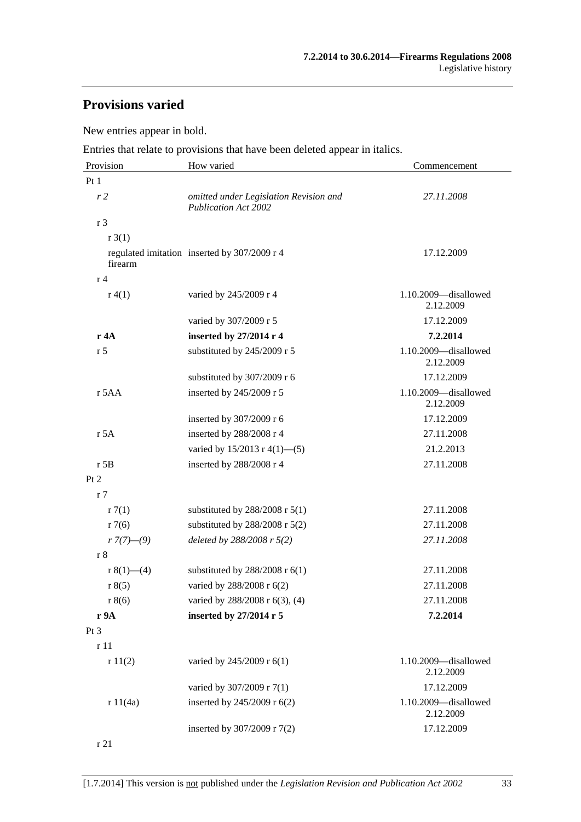## **Provisions varied**

New entries appear in bold.

Entries that relate to provisions that have been deleted appear in italics.

| Provision              | How varied                                                            | Commencement                      |
|------------------------|-----------------------------------------------------------------------|-----------------------------------|
| Pt1                    |                                                                       |                                   |
| r <sub>2</sub>         | omitted under Legislation Revision and<br><b>Publication Act 2002</b> | 27.11.2008                        |
| r <sub>3</sub>         |                                                                       |                                   |
| r3(1)                  |                                                                       |                                   |
| firearm                | regulated imitation inserted by 307/2009 r 4                          | 17.12.2009                        |
| r <sub>4</sub>         |                                                                       |                                   |
| r(4(1))                | varied by 245/2009 r 4                                                | 1.10.2009-disallowed<br>2.12.2009 |
|                        | varied by 307/2009 r 5                                                | 17.12.2009                        |
| r 4A                   | inserted by 27/2014 r 4                                               | 7.2.2014                          |
| r <sub>5</sub>         | substituted by 245/2009 r 5                                           | 1.10.2009-disallowed<br>2.12.2009 |
|                        | substituted by 307/2009 r 6                                           | 17.12.2009                        |
| $r$ 5AA                | inserted by 245/2009 r 5                                              | 1.10.2009-disallowed<br>2.12.2009 |
|                        | inserted by 307/2009 r 6                                              | 17.12.2009                        |
| r 5A                   | inserted by 288/2008 r 4                                              | 27.11.2008                        |
|                        | varied by 15/2013 r 4(1)-(5)                                          | 21.2.2013                         |
| $r$ 5B                 | inserted by 288/2008 r 4                                              | 27.11.2008                        |
| Pt 2                   |                                                                       |                                   |
| r <sub>7</sub>         |                                                                       |                                   |
| r7(1)                  | substituted by $288/2008$ r $5(1)$                                    | 27.11.2008                        |
| r7(6)                  | substituted by $288/2008$ r $5(2)$                                    | 27.11.2008                        |
| $r \frac{7(7)-(9)}{2}$ | deleted by $288/2008$ r $5(2)$                                        | 27.11.2008                        |
| r8                     |                                                                       |                                   |
| r $8(1)$ — $(4)$       | substituted by $288/2008$ r $6(1)$                                    | 27.11.2008                        |
| r 8(5)                 | varied by 288/2008 r 6(2)                                             | 27.11.2008                        |
| r 8(6)                 | varied by 288/2008 r 6(3), (4)                                        | 27.11.2008                        |
| r 9A                   | inserted by 27/2014 r 5                                               | 7.2.2014                          |
| Pt <sub>3</sub>        |                                                                       |                                   |
| r 11                   |                                                                       |                                   |
| r11(2)                 | varied by 245/2009 r 6(1)                                             | 1.10.2009-disallowed<br>2.12.2009 |
|                        | varied by 307/2009 r 7(1)                                             | 17.12.2009                        |
| r 11(4a)               | inserted by 245/2009 r 6(2)                                           | 1.10.2009-disallowed<br>2.12.2009 |
|                        | inserted by 307/2009 r 7(2)                                           | 17.12.2009                        |